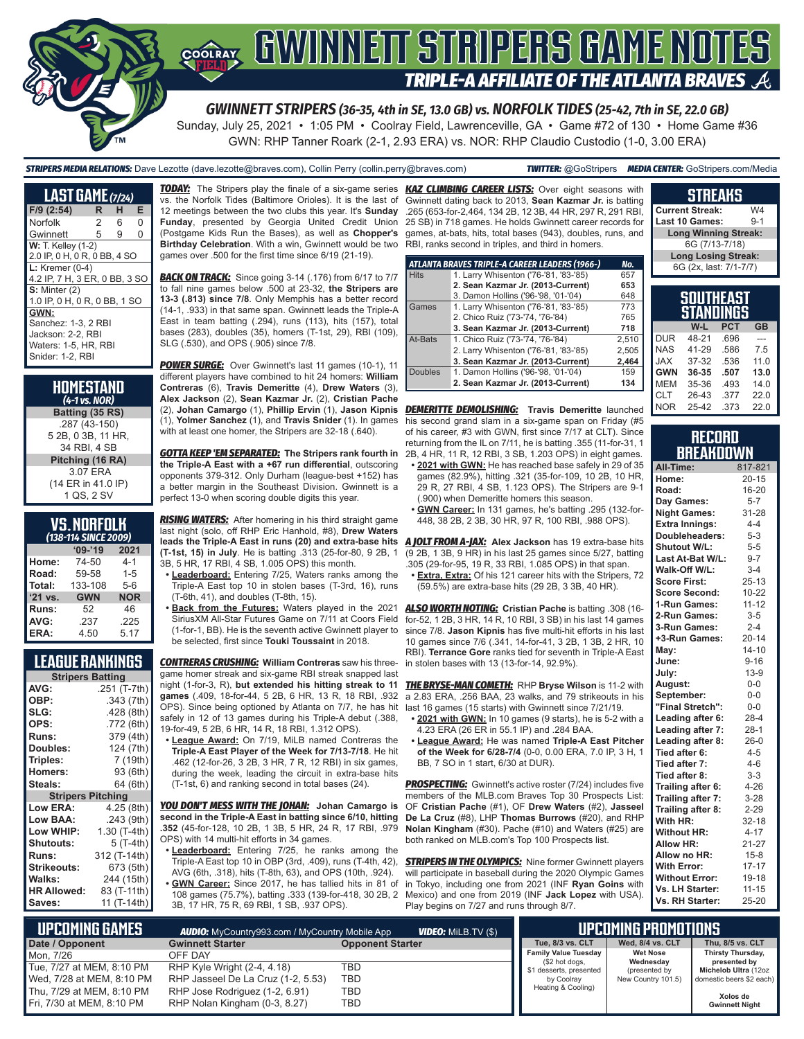

# **TRIPLE-A AFFILIATE OF THE ATLANTA BRAVES**

*GWINNETT STRIPERS (36-35, 4th in SE, 13.0 GB) vs. NORFOLK TIDES (25-42, 7th in SE, 22.0 GB)*

Sunday, July 25, 2021 • 1:05 PM • Coolray Field, Lawrenceville, GA • Game #72 of 130 • Home Game #36 GWN: RHP Tanner Roark (2-1, 2.93 ERA) vs. NOR: RHP Claudio Custodio (1-0, 3.00 ERA)

*STRIPERS MEDIA RELATIONS:* Dave Lezotte (dave.lezotte@braves.com), Collin Perry (collin.perry@braves.com) *TWITTER:* @GoStripers *MEDIA CENTER:* GoStripers.com/Media

| <b>LAST GAME</b> (7/24)       |   |   |   |  |
|-------------------------------|---|---|---|--|
| F/9 (2:54)                    | R | н | Е |  |
| Norfolk                       | 2 | 6 | 0 |  |
| Gwinnett                      | 5 | 9 | 0 |  |
| <b>W:</b> T. Kelley (1-2)     |   |   |   |  |
| 2.0 IP, 0 H, 0 R, 0 BB, 4 SO  |   |   |   |  |
| $L:$ Kremer (0-4)             |   |   |   |  |
| 4.2 IP, 7 H, 3 ER, 0 BB, 3 SO |   |   |   |  |
| $S:$ Minter $(2)$             |   |   |   |  |
| 1.0 IP, 0 H, 0 R, 0 BB, 1 SO  |   |   |   |  |
| GWN:                          |   |   |   |  |
| Sanchez: 1-3, 2 RBI           |   |   |   |  |
| Jackson: 2-2, RBI             |   |   |   |  |
| Waters: 1-5, HR, RBI          |   |   |   |  |
| Snider: 1-2. RBI              |   |   |   |  |

| HOMESTAND<br>$(4-1 \text{ vs. } \text{NOR})$ |
|----------------------------------------------|
| Batting (35 RS)                              |
| .287 (43-150)                                |
| 5 2B, 0 3B, 11 HR,                           |
| 34 RBI. 4 SB                                 |
| Pitching (16 RA)                             |
| 3.07 ERA                                     |
| (14 ER in 41.0 IP)                           |
| 1 QS, 2 SV                                   |

| <b>VS.NORFOLK</b>          |  |  |
|----------------------------|--|--|
| <i>ADD AAL CIBLET BOOD</i> |  |  |

| (138-114 SINCE 2009) |            |            |  |  |  |  |
|----------------------|------------|------------|--|--|--|--|
| $09 - 19$<br>2021    |            |            |  |  |  |  |
| Home:                | 74-50      | $4 - 1$    |  |  |  |  |
| Road:                | 59-58      | $1 - 5$    |  |  |  |  |
| Total:               | 133-108    | $5-6$      |  |  |  |  |
| '21 vs.              | <b>GWN</b> | <b>NOR</b> |  |  |  |  |
| Runs:                | 52         | 46         |  |  |  |  |
| AVG:                 | .237       | .225       |  |  |  |  |
| ERA:                 | 4.50       | 5.17       |  |  |  |  |

### **LEAGUE RANKINGS**

| <b>Stripers Batting</b>  |              |  |  |  |  |
|--------------------------|--------------|--|--|--|--|
| AVG:                     | .251 (T-7th) |  |  |  |  |
| OBP:                     | .343 (7th)   |  |  |  |  |
| SLG:                     | .428 (8th)   |  |  |  |  |
| OPS:                     | .772 (6th)   |  |  |  |  |
| <b>Runs:</b>             | 379 (4th)    |  |  |  |  |
| Doubles:                 | 124 (7th)    |  |  |  |  |
| Triples:                 | 7 (19th)     |  |  |  |  |
| <b>Homers:</b>           | 93 (6th)     |  |  |  |  |
| Steals:                  | 64 (6th)     |  |  |  |  |
| <b>Stripers Pitching</b> |              |  |  |  |  |
| <b>Low ERA:</b>          | 4.25 (8th)   |  |  |  |  |
| Low BAA:                 | .243 (9th)   |  |  |  |  |
| Low WHIP:                | 1.30 (T-4th) |  |  |  |  |
| <b>Shutouts:</b>         | 5 (T-4th)    |  |  |  |  |
| Runs:                    | 312 (T-14th) |  |  |  |  |
| <b>Strikeouts:</b>       | 673 (5th)    |  |  |  |  |
| Walks:                   | 244 (15th)   |  |  |  |  |
| <b>HR Allowed:</b>       | 83 (T-11th)  |  |  |  |  |
| Saves:                   | 11 (T-14th)  |  |  |  |  |

vs. the Norfolk Tides (Baltimore Orioles). It is the last of 12 meetings between the two clubs this year. It's **Sunday**  .265 (653-for-2,464, 134 2B, 12 3B, 44 HR, 297 R, 291 RBI, **Funday**, presented by Georgia United Credit Union (Postgame Kids Run the Bases), as well as **Chopper's Birthday Celebration**. With a win, Gwinnett would be two RBI, ranks second in triples, and third in homers. games over .500 for the first time since 6/19 (21-19).

**BACK ON TRACK:** Since going 3-14 (.176) from 6/17 to 7/7 to fall nine games below .500 at 23-32, **the Stripers are 13-3 (.813) since 7/8**. Only Memphis has a better record (14-1, .933) in that same span. Gwinnett leads the Triple-A East in team batting (.294), runs (113), hits (157), total bases (283), doubles (35), homers (T-1st, 29), RBI (109), SLG (.530), and OPS (.905) since 7/8.

*POWER SURGE:* Over Gwinnett's last 11 games (10-1), 11 different players have combined to hit 24 homers: **William Contreras** (6), **Travis Demeritte** (4), **Drew Waters** (3), **Alex Jackson** (2), **Sean Kazmar Jr.** (2), **Cristian Pache** (2), **Johan Camargo** (1), **Phillip Ervin** (1), **Jason Kipnis** (1), **Yolmer Sanchez** (1), and **Travis Snider** (1). In games with at least one homer, the Stripers are 32-18 (.640).

*GOTTA KEEP 'EM SEPARATED:* **The Stripers rank fourth in the Triple-A East with a +67 run differential**, outscoring opponents 379-312. Only Durham (league-best +152) has a better margin in the Southeast Division. Gwinnett is a perfect 13-0 when scoring double digits this year.

*RISING WATERS:* After homering in his third straight game last night (solo, off RHP Eric Hanhold, #8), **Drew Waters (T-1st, 15) in July**. He is batting .313 (25-for-80, 9 2B, 1 3B, 5 HR, 17 RBI, 4 SB, 1.005 OPS) this month.

- **• Leaderboard:** Entering 7/25, Waters ranks among the Triple-A East top 10 in stolen bases (T-3rd, 16), runs (T-6th, 41), and doubles (T-8th, 15).
- **• Back from the Futures:** Waters played in the 2021 SiriusXM All-Star Futures Game on 7/11 at Coors Field (1-for-1, BB). He is the seventh active Gwinnett player to be selected, first since **Touki Toussaint** in 2018.

*CONTRERAS CRUSHING:* **William Contreras** saw his threegame homer streak and six-game RBI streak snapped last night (1-for-3, R), **but extended his hitting streak to 11 games** (.409, 18-for-44, 5 2B, 6 HR, 13 R, 18 RBI, .932 OPS). Since being optioned by Atlanta on 7/7, he has hit safely in 12 of 13 games during his Triple-A debut (.388, 19-for-49, 5 2B, 6 HR, 14 R, 18 RBI, 1.312 OPS).

**• League Award:** On 7/19, MiLB named Contreras the **Triple-A East Player of the Week for 7/13-7/18**. He hit .462 (12-for-26, 3 2B, 3 HR, 7 R, 12 RBI) in six games, during the week, leading the circuit in extra-base hits (T-1st, 6) and ranking second in total bases (24).

*YOU DON'T MESS WITH THE JOHAN:* **Johan Camargo is second in the Triple-A East in batting since 6/10, hitting .352** (45-for-128, 10 2B, 1 3B, 5 HR, 24 R, 17 RBI, .979 OPS) with 14 multi-hit efforts in 34 games.

**• Leaderboard:** Entering 7/25, he ranks among the Triple-A East top 10 in OBP (3rd, .409), runs (T-4th, 42), AVG (6th, .318), hits (T-8th, 63), and OPS (10th, .924). **• GWN Career:** Since 2017, he has tallied hits in 81 of 108 games (75.7%), batting .333 (139-for-418, 30 2B, 2 3B, 17 HR, 75 R, 69 RBI, 1 SB, .937 OPS).

*TODAY:* The Stripers play the finale of a six-game series *KAZ CLIMBING CAREER LISTS:* Over eight seasons with Gwinnett dating back to 2013, **Sean Kazmar Jr.** is batting 25 SB) in 718 games. He holds Gwinnett career records for games, at-bats, hits, total bases (943), doubles, runs, and

|                | ATLANTA BRAVES TRIPLE-A CAREER LEADERS (1966-) | No.   |
|----------------|------------------------------------------------|-------|
| <b>Hits</b>    | 1. Larry Whisenton ('76-'81, '83-'85)          | 657   |
|                | 2. Sean Kazmar Jr. (2013-Current)              | 653   |
|                | 3. Damon Hollins ('96-'98, '01-'04)            | 648   |
| Games          | 1. Larry Whisenton ('76-'81, '83-'85)          | 773   |
|                | 2. Chico Ruiz ('73-'74, '76-'84)               | 765   |
|                | 3. Sean Kazmar Jr. (2013-Current)              | 718   |
| At-Bats        | 1. Chico Ruiz ('73-'74, '76-'84)               | 2,510 |
|                | 2. Larry Whisenton ('76-'81, '83-'85)          | 2.505 |
|                | 3. Sean Kazmar Jr. (2013-Current)              | 2.464 |
| <b>Doubles</b> | 1. Damon Hollins ('96-'98, '01-'04)            | 159   |
|                | 2. Sean Kazmar Jr. (2013-Current)              | 134   |

*DEMERITTE DEMOLISHING:* **Travis Demeritte** launched his second grand slam in a six-game span on Friday (#5 of his career, #3 with GWN, first since 7/17 at CLT). Since returning from the IL on 7/11, he is batting .355 (11-for-31, 1 2B, 4 HR, 11 R, 12 RBI, 3 SB, 1.203 OPS) in eight games.

- **• 2021 with GWN:** He has reached base safely in 29 of 35 games (82.9%), hitting .321 (35-for-109, 10 2B, 10 HR, 29 R, 27 RBI, 4 SB, 1.123 OPS). The Stripers are 9-1 (.900) when Demeritte homers this season.
- **• GWN Career:** In 131 games, he's batting .295 (132-for-448, 38 2B, 2 3B, 30 HR, 97 R, 100 RBI, .988 OPS).

**leads the Triple-A East in runs (20) and extra-base hits**  *A JOLT FROM A-JAX:* **Alex Jackson** has 19 extra-base hits (9 2B, 1 3B, 9 HR) in his last 25 games since 5/27, batting .305 (29-for-95, 19 R, 33 RBI, 1.085 OPS) in that span.

**• Extra, Extra:** Of his 121 career hits with the Stripers, 72 (59.5%) are extra-base hits (29 2B, 3 3B, 40 HR).

*ALSO WORTH NOTING:* **Cristian Pache** is batting .308 (16 for-52, 1 2B, 3 HR, 14 R, 10 RBI, 3 SB) in his last 14 games since 7/8. **Jason Kipnis** has five multi-hit efforts in his last 10 games since 7/6 (.341, 14-for-41, 3 2B, 1 3B, 2 HR, 10 RBI). **Terrance Gore** ranks tied for seventh in Triple-A East in stolen bases with 13 (13-for-14, 92.9%).

*THE BRYSE-MAN COMETH:* RHP **Bryse Wilson** is 11-2 with a 2.83 ERA, .256 BAA, 23 walks, and 79 strikeouts in his last 16 games (15 starts) with Gwinnett since 7/21/19.

- **• 2021 with GWN:** In 10 games (9 starts), he is 5-2 with a 4.23 ERA (26 ER in 55.1 IP) and .284 BAA.
- **• League Award:** He was named **Triple-A East Pitcher of the Week for 6/28-7/4** (0-0, 0.00 ERA, 7.0 IP, 3 H, 1 BB, 7 SO in 1 start, 6/30 at DUR).

**PROSPECTING:** Gwinnett's active roster (7/24) includes five members of the MLB.com Braves Top 30 Prospects List: OF **Cristian Pache** (#1), OF **Drew Waters** (#2), **Jasseel De La Cruz** (#8), LHP **Thomas Burrows** (#20), and RHP **Nolan Kingham** (#30). Pache (#10) and Waters (#25) are both ranked on MLB.com's Top 100 Prospects list.

*STRIPERS IN THE OLYMPICS:* Nine former Gwinnett players will participate in baseball during the 2020 Olympic Games in Tokyo, including one from 2021 (INF **Ryan Goins** with Mexico) and one from 2019 (INF **Jack Lopez** with USA). Play begins on 7/27 and runs through 8/7.

| 6G (7/13-7/18) |                            |            |           |  |
|----------------|----------------------------|------------|-----------|--|
|                | <b>Long Losing Streak:</b> |            |           |  |
|                | 6G (2x, last: 7/1-7/7)     |            |           |  |
|                |                            |            |           |  |
|                | <b>SOUTHEAST</b>           |            |           |  |
|                |                            |            |           |  |
|                | <b>STANDINGS</b>           |            |           |  |
|                | W-L                        | <b>PCT</b> | <b>GB</b> |  |
| DUR            | 48-21                      | .696       |           |  |
| NAS.           | 41-29                      | .586       | 7.5       |  |
| <b>XAL</b>     | 37-32                      | .536       | 11.0      |  |
| <b>GWN</b>     | $36 - 35$                  | .507       | 13.0      |  |
| MEM            | 35-36 .493                 |            | 14.0      |  |
| CLT            | 26-43                      | .377       | 22.0      |  |
| NOR            | 25-42                      | .373       | 22.0      |  |

**STREAKS Current Streak:** W4<br>Last 10 Games: 9-1 **Last 10 Games:** 

**Long Winning Streak:**

#### **RECORD BREAKDOWN**

| All-Time:             | 817-821   |
|-----------------------|-----------|
| Home:                 | $20 - 15$ |
| Road:                 | 16-20     |
| Day Games:            | $5 - 7$   |
| <b>Night Games:</b>   | 31-28     |
| <b>Extra Innings:</b> | $4 - 4$   |
| Doubleheaders:        | $5 - 3$   |
| Shutout W/L:          | $5 - 5$   |
| Last At-Bat W/L:      | $9 - 7$   |
| Walk-Off W/L:         | $3 - 4$   |
| <b>Score First:</b>   | $25 - 13$ |
| <b>Score Second:</b>  | $10 - 22$ |
| 1-Run Games:          | $11 - 12$ |
| 2-Run Games:          | $3-5$     |
| 3-Run Games:          | $2 - 4$   |
| +3-Run Games:         | $20 - 14$ |
| May:                  | $14 - 10$ |
| June:                 | $9 - 16$  |
| July:                 | $13-9$    |
| August:               | $0-0$     |
| September:            | $0-0$     |
| "Final Stretch":      | $0 - 0$   |
| Leading after 6:      | $28 - 4$  |
| Leading after 7:      | $28-1$    |
| Leading after 8:      | $26-0$    |
| Tied after 6:         | $4 - 5$   |
| Tied after 7:         | $4 - 6$   |
| Tied after 8:         | $3 - 3$   |
| Trailing after 6:     | $4 - 26$  |
| Trailing after 7:     | $3 - 28$  |
| Trailing after 8:     | $2 - 29$  |
| With HR:              | $32 - 18$ |
| <b>Without HR:</b>    | $4 - 17$  |
| <b>Allow HR:</b>      | $21 - 27$ |
| Allow no HR:          | $15 - 8$  |
| <b>With Error:</b>    | $17 - 17$ |
| <b>Without Error:</b> | 19-18     |
| Vs. LH Starter:       | $11 - 15$ |
| Vs. RH Starter:       | 25-20     |

| NUPCOMING GAMES <b>I</b><br><b>VIDEO:</b> Milb.TV (\$)<br><b>AUDIO:</b> MyCountry993.com / MyCountry Mobile App |                                    |                         |                                               | UPCOMING PROMOTIONS          |                                   |
|-----------------------------------------------------------------------------------------------------------------|------------------------------------|-------------------------|-----------------------------------------------|------------------------------|-----------------------------------|
| Date / Opponent                                                                                                 | <b>Gwinnett Starter</b>            | <b>Opponent Starter</b> | Tue, 8/3 vs. CLT                              | Wed, 8/4 vs. CLT             | Thu, 8/5 vs. CLT                  |
| Mon. 7/26                                                                                                       | OFF DAY                            |                         | <b>Family Value Tuesday</b><br>(\$2 hot dogs, | <b>Wet Nose</b><br>Wednesday | Thirsty Thursday,<br>presented by |
| Tue, 7/27 at MEM, 8:10 PM                                                                                       | RHP Kyle Wright (2-4, 4.18)        | TBD                     | \$1 desserts, presented                       | (presented by                | Michelob Ultra (12oz              |
| Wed, 7/28 at MEM, 8:10 PM                                                                                       | RHP Jasseel De La Cruz (1-2, 5.53) | TBD                     | by Coolray                                    | New Country 101.5)           | domestic beers \$2 each)          |
| Thu, 7/29 at MEM, 8:10 PM                                                                                       | RHP Jose Rodriguez (1-2, 6.91)     | TBD                     | Heating & Cooling)                            |                              | Xolos de                          |
| Fri. 7/30 at MEM. 8:10 PM                                                                                       | RHP Nolan Kingham (0-3, 8.27)      | TBD                     |                                               |                              | <b>Gwinnett Night</b>             |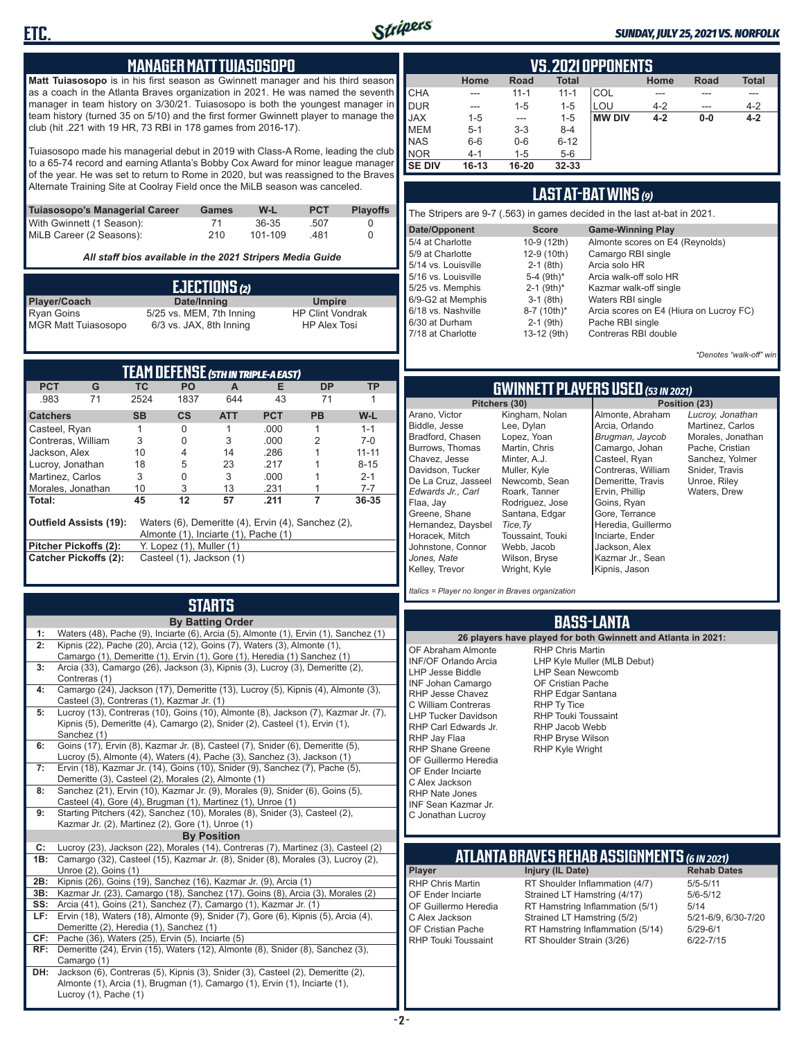

#### *SUNDAY, JULY 25, 2021 VS. NORFOLK*

#### **MANAGER MATT TUIASOSOPO**

**Matt Tuiasosopo** is in his first season as Gwinnett manager and his third season as a coach in the Atlanta Braves organization in 2021. He was named the seventh manager in team history on 3/30/21. Tuiasosopo is both the youngest manager in team history (turned 35 on 5/10) and the first former Gwinnett player to manage the club (hit .221 with 19 HR, 73 RBI in 178 games from 2016-17).

Tuiasosopo made his managerial debut in 2019 with Class-A Rome, leading the club to a 65-74 record and earning Atlanta's Bobby Cox Award for minor league manager of the year. He was set to return to Rome in 2020, but was reassigned to the Braves Alternate Training Site at Coolray Field once the MiLB season was canceled.

| Tuiasosopo's Managerial Career | Games | W-L     | <b>PCT</b> | <b>Plavoffs</b> |
|--------------------------------|-------|---------|------------|-----------------|
| With Gwinnett (1 Season):      | 71    | 36-35   | .507       |                 |
| MiLB Career (2 Seasons):       | 210   | 101-109 | -481       |                 |

*All staff bios available in the 2021 Stripers Media Guide*

| EJECTIONS (2)              |                          |                         |  |  |
|----------------------------|--------------------------|-------------------------|--|--|
| <b>Player/Coach</b>        | Date/Inning              | <b>Umpire</b>           |  |  |
| <b>Ryan Goins</b>          | 5/25 vs. MEM, 7th Inning | <b>HP Clint Vondrak</b> |  |  |
| <b>MGR Matt Tuiasosopo</b> | 6/3 vs. JAX, 8th Inning  | <b>HP Alex Tosi</b>     |  |  |

| TEAM DEFENSE (5TH IN TRIPLE-A EAST)                                                                                         |    |                                 |               |            |            |           |           |
|-----------------------------------------------------------------------------------------------------------------------------|----|---------------------------------|---------------|------------|------------|-----------|-----------|
| <b>PCT</b>                                                                                                                  | G  | TC.                             | <b>PO</b>     | A          | Е          | DP.       | ТP        |
| .983                                                                                                                        | 71 | 2524                            | 1837          | 644        | 43         | 71        |           |
| <b>Catchers</b>                                                                                                             |    | <b>SB</b>                       | $\mathsf{cs}$ | <b>ATT</b> | <b>PCT</b> | <b>PB</b> | W-L       |
| Casteel, Ryan                                                                                                               |    |                                 | 0             |            | .000       | 1         | $1 - 1$   |
| Contreras, William                                                                                                          |    | 3                               | 0             | 3          | .000       | 2         | $7-0$     |
| Jackson, Alex                                                                                                               |    | 10                              | 4             | 14         | .286       |           | $11 - 11$ |
| Lucroy, Jonathan                                                                                                            |    | 18                              | 5             | 23         | .217       |           | $8 - 15$  |
| Martinez, Carlos                                                                                                            |    | 3                               | 0             | 3          | .000       |           | $2 - 1$   |
| Morales, Jonathan                                                                                                           |    | 10                              | 3             | 13         | .231       |           | $7 - 7$   |
| Total:                                                                                                                      |    | 45                              | 12            | 57         | .211       |           | 36-35     |
| <b>Outfield Assists (19):</b><br>Waters (6), Demeritte (4), Ervin (4), Sanchez (2),<br>Almonte (1), Inciarte (1), Pache (1) |    |                                 |               |            |            |           |           |
| Pitcher Pickoffs (2):                                                                                                       |    | $Y.$ Lopez $(1)$ , Muller $(1)$ |               |            |            |           |           |
| <b>Catcher Pickoffs (2):</b><br>Casteel (1), Jackson (1)                                                                    |    |                                 |               |            |            |           |           |

# **STARTS**

| Camargo (24), Jackson (17), Demeritte (13), Lucroy (5), Kipnis (4), Almonte (3),   |                | <b>By Batting Order</b>                                                                                                                                                                                                                                                                                                                                                                            |
|------------------------------------------------------------------------------------|----------------|----------------------------------------------------------------------------------------------------------------------------------------------------------------------------------------------------------------------------------------------------------------------------------------------------------------------------------------------------------------------------------------------------|
|                                                                                    | 1:             | Waters (48), Pache (9), Inciarte (6), Arcia (5), Almonte (1), Ervin (1), Sanchez (1)                                                                                                                                                                                                                                                                                                               |
|                                                                                    | 2:             | Kipnis (22), Pache (20), Arcia (12), Goins (7), Waters (3), Almonte (1),                                                                                                                                                                                                                                                                                                                           |
|                                                                                    |                |                                                                                                                                                                                                                                                                                                                                                                                                    |
|                                                                                    |                |                                                                                                                                                                                                                                                                                                                                                                                                    |
|                                                                                    |                |                                                                                                                                                                                                                                                                                                                                                                                                    |
|                                                                                    | 4:             |                                                                                                                                                                                                                                                                                                                                                                                                    |
|                                                                                    |                | Casteel (3), Contreras (1), Kazmar Jr. (1)                                                                                                                                                                                                                                                                                                                                                         |
| Lucroy (13), Contreras (10), Goins (10), Almonte (8), Jackson (7), Kazmar Jr. (7), | 5:             |                                                                                                                                                                                                                                                                                                                                                                                                    |
|                                                                                    |                |                                                                                                                                                                                                                                                                                                                                                                                                    |
| Kipnis (5), Demeritte (4), Camargo (2), Snider (2), Casteel (1), Ervin (1),        |                |                                                                                                                                                                                                                                                                                                                                                                                                    |
|                                                                                    |                |                                                                                                                                                                                                                                                                                                                                                                                                    |
|                                                                                    |                |                                                                                                                                                                                                                                                                                                                                                                                                    |
|                                                                                    |                |                                                                                                                                                                                                                                                                                                                                                                                                    |
|                                                                                    |                |                                                                                                                                                                                                                                                                                                                                                                                                    |
|                                                                                    |                |                                                                                                                                                                                                                                                                                                                                                                                                    |
|                                                                                    | 9:             |                                                                                                                                                                                                                                                                                                                                                                                                    |
| Casteel (4), Gore (4), Brugman (1), Martinez (1), Unroe (1)                        |                | Kazmar Jr. (2), Martinez (2), Gore (1), Unroe (1)                                                                                                                                                                                                                                                                                                                                                  |
| Starting Pitchers (42), Sanchez (10), Morales (8), Snider (3), Casteel (2),        |                | <b>By Position</b>                                                                                                                                                                                                                                                                                                                                                                                 |
|                                                                                    | C:             | Lucroy (23), Jackson (22), Morales (14), Contreras (7), Martinez (3), Casteel (2)                                                                                                                                                                                                                                                                                                                  |
|                                                                                    | 1B:            | Camargo (32), Casteel (15), Kazmar Jr. (8), Snider (8), Morales (3), Lucroy (2),                                                                                                                                                                                                                                                                                                                   |
|                                                                                    |                | Unroe (2), Goins (1)                                                                                                                                                                                                                                                                                                                                                                               |
|                                                                                    | 2B:            | Kipnis (26), Goins (19), Sanchez (16), Kazmar Jr. (9), Arcia (1)                                                                                                                                                                                                                                                                                                                                   |
|                                                                                    | 3B:            | Kazmar Jr. (23), Camargo (18), Sanchez (17), Goins (8), Arcia (3), Morales (2)                                                                                                                                                                                                                                                                                                                     |
|                                                                                    | SS:            | Arcia (41), Goins (21), Sanchez (7), Camargo (1), Kazmar Jr. (1)                                                                                                                                                                                                                                                                                                                                   |
|                                                                                    | LF:            | Ervin (18), Waters (18), Almonte (9), Snider (7), Gore (6), Kipnis (5), Arcia (4),                                                                                                                                                                                                                                                                                                                 |
|                                                                                    |                | Demeritte (2), Heredia (1), Sanchez (1)                                                                                                                                                                                                                                                                                                                                                            |
|                                                                                    | CF:            | Pache (36), Waters (25), Ervin (5), Inciarte (5)                                                                                                                                                                                                                                                                                                                                                   |
|                                                                                    | RF:            | Demeritte (24), Ervin (15), Waters (12), Almonte (8), Snider (8), Sanchez (3),                                                                                                                                                                                                                                                                                                                     |
|                                                                                    |                | Camargo (1)                                                                                                                                                                                                                                                                                                                                                                                        |
|                                                                                    | DH:            |                                                                                                                                                                                                                                                                                                                                                                                                    |
| Jackson (6), Contreras (5), Kipnis (3), Snider (3), Casteel (2), Demeritte (2),    |                |                                                                                                                                                                                                                                                                                                                                                                                                    |
| Almonte (1), Arcia (1), Brugman (1), Camargo (1), Ervin (1), Inciarte (1),         |                | Lucroy (1), Pache (1)                                                                                                                                                                                                                                                                                                                                                                              |
|                                                                                    | 6:<br>7:<br>8: | Sanchez (1)<br>Goins (17), Ervin (8), Kazmar Jr. (8), Casteel (7), Snider (6), Demeritte (5),<br>Lucroy (5), Almonte (4), Waters (4), Pache (3), Sanchez (3), Jackson (1)<br>Ervin (18), Kazmar Jr. (14), Goins (10), Snider (9), Sanchez (7), Pache (5),<br>Demeritte (3), Casteel (2), Morales (2), Almonte (1)<br>Sanchez (21), Ervin (10), Kazmar Jr. (9), Morales (9), Snider (6), Goins (5), |
|                                                                                    | 3:             | Arcia (33), Camargo (26), Jackson (3), Kipnis (3), Lucroy (3), Demeritte (2),<br>Contreras (1)                                                                                                                                                                                                                                                                                                     |
|                                                                                    |                | Camargo (1), Demeritte (1), Ervin (1), Gore (1), Heredia (1) Sanchez (1)                                                                                                                                                                                                                                                                                                                           |
|                                                                                    |                |                                                                                                                                                                                                                                                                                                                                                                                                    |
|                                                                                    |                |                                                                                                                                                                                                                                                                                                                                                                                                    |
|                                                                                    |                |                                                                                                                                                                                                                                                                                                                                                                                                    |
|                                                                                    |                |                                                                                                                                                                                                                                                                                                                                                                                                    |
|                                                                                    |                |                                                                                                                                                                                                                                                                                                                                                                                                    |

|               |                                                                     |          |           | VS. 2021 OPPONENTS |         |       |         |  |  |  |  |  |  |
|---------------|---------------------------------------------------------------------|----------|-----------|--------------------|---------|-------|---------|--|--|--|--|--|--|
|               | <b>Total</b><br><b>Total</b><br>Home<br>Home<br><b>Road</b><br>Road |          |           |                    |         |       |         |  |  |  |  |  |  |
| <b>CHA</b>    | ---                                                                 | $11 - 1$ | $11 - 1$  | COL                |         |       |         |  |  |  |  |  |  |
| DUR           | $---$                                                               | $1 - 5$  | $1 - 5$   | LOU                | $4 - 2$ | ---   | $4 - 2$ |  |  |  |  |  |  |
| <b>JAX</b>    | $1 - 5$                                                             | $---$    | $1 - 5$   | <b>MW DIV</b>      | $4 - 2$ | $0-0$ | $4 - 2$ |  |  |  |  |  |  |
| <b>IMEM</b>   | $5 - 1$                                                             | $3 - 3$  | $8 - 4$   |                    |         |       |         |  |  |  |  |  |  |
| <b>NAS</b>    | $6-6$                                                               | $0-6$    | $6 - 12$  |                    |         |       |         |  |  |  |  |  |  |
| <b>NOR</b>    | $4 - 1$                                                             | $1 - 5$  | $5-6$     |                    |         |       |         |  |  |  |  |  |  |
| <b>SE DIV</b> | $16 - 13$                                                           | 16-20    | $32 - 33$ |                    |         |       |         |  |  |  |  |  |  |

### **LAST AT-BAT WINS** *(9)*

| The Stripers are 9-7 (.563) in games decided in the last at-bat in 2021. |                          |                                         |  |  |  |  |  |  |  |
|--------------------------------------------------------------------------|--------------------------|-----------------------------------------|--|--|--|--|--|--|--|
| Date/Opponent                                                            | <b>Score</b>             | <b>Game-Winning Play</b>                |  |  |  |  |  |  |  |
| 5/4 at Charlotte                                                         | 10-9 (12th)              | Almonte scores on E4 (Reynolds)         |  |  |  |  |  |  |  |
| 5/9 at Charlotte                                                         | 12-9 (10th)              | Camargo RBI single                      |  |  |  |  |  |  |  |
| 5/14 vs. Louisville                                                      | $2-1$ (8th)              | Arcia solo HR                           |  |  |  |  |  |  |  |
| 5/16 vs. Louisville                                                      | 5-4 $(9th)*$             | Arcia walk-off solo HR                  |  |  |  |  |  |  |  |
| 5/25 vs. Memphis                                                         | $2-1$ (9th) <sup>*</sup> | Kazmar walk-off single                  |  |  |  |  |  |  |  |
| 6/9-G2 at Memphis                                                        | $3-1$ (8th)              | Waters RBI single                       |  |  |  |  |  |  |  |
| 6/18 vs. Nashville                                                       | 8-7 (10th)*              | Arcia scores on E4 (Hiura on Lucroy FC) |  |  |  |  |  |  |  |
| 6/30 at Durham                                                           | $2-1$ (9th)              | Pache RBI single                        |  |  |  |  |  |  |  |
| 7/18 at Charlotte                                                        | 13-12 (9th)              | Contreras RBI double                    |  |  |  |  |  |  |  |
|                                                                          |                          |                                         |  |  |  |  |  |  |  |

*\*Denotes "walk-off" win*

*Lucroy, Jonathan* Martinez, Carlos Morales, Jonathan Pache, Cristian Sanchez, Yolmer Snider, Travis Unroe, Riley Waters, Drew

**Pitchers (30) Position (23)**

### **GWINNETT PLAYERS USED** *(53 IN 2021)*

|                     | Pitchers (30)    | Pos                |
|---------------------|------------------|--------------------|
| Arano, Victor       | Kingham, Nolan   | Almonte, Abraham   |
| Biddle, Jesse       | Lee, Dylan       | Arcia, Orlando     |
| Bradford. Chasen    | Lopez, Yoan      | Brugman, Jaycob    |
| Burrows, Thomas     | Martin, Chris    | Camargo, Johan     |
| Chavez, Jesse       | Minter, A.J.     | Casteel, Ryan      |
| Davidson, Tucker    | Muller, Kyle     | Contreras, William |
| De La Cruz, Jasseel | Newcomb, Sean    | Demeritte, Travis  |
| Edwards Jr Carl     | Roark, Tanner    | Ervin, Phillip     |
| Flaa, Jav           | Rodriguez, Jose  | Goins, Ryan        |
| Greene, Shane       | Santana, Edgar   | Gore, Terrance     |
| Hernandez, Daysbel  | Tice, Ty         | Heredia, Guillermo |
| Horacek, Mitch      | Toussaint, Touki | Inciarte, Ender    |
| Johnstone, Connor   | Webb, Jacob      | Jackson, Alex      |
| Jones, Nate         | Wilson, Bryse    | Kazmar Jr., Sean   |
| Kelley, Trevor      | Wright, Kyle     | Kipnis, Jason      |

*Italics = Player no longer in Braves organization*

### **BASS-LANTA**

**ATLANTA BRAVES REHAB ASSIGNMENTS** *(6 IN 2021)* **Player Injury (IL Date)** RHP Chris Martin RT Shoulder Inflammation (4/7) 5/5-5/11<br>CF Ender Inciarte Strained I T Hamstring (4/17) 5/6-5/12 OF Ender Inciarte Strained LT Hamstring (4/17) 5/6-5<br>OF Guillermo Heredia RT Hamstring Inflammation (5/1) 5/14 OF Guillermo Heredia RT Hamstring Inflammation (5/1) 5/14<br>C Alex Jackson Strained LT Hamstring (5/2) 5/21-6/9, 6/30-7/20 C Alex Jackson Strained LT Hamstring (5/2) 5/21-6/9,<br>OF Cristian Pache RT Hamstring Inflammation (5/14) 5/29-6/1 OF Cristian Pache RT Hamstring Inflammation (5/14)<br>RHP Touki Toussaint RT Shoulder Strain (3/26) RT Shoulder Strain (3/26) 6/22-7/15 **26 players have played for both Gwinnett and Atlanta in 2021:** OF Abraham Almonte INF/OF Orlando Arcia LHP Jesse Biddle INF Johan Camargo RHP Jesse Chavez C William Contreras LHP Tucker Davidson RHP Carl Edwards Jr. RHP Jay Flaa RHP Shane Greene OF Guillermo Heredia OF Ender Inciarte C Alex Jackson RHP Nate Jones INF Sean Kazmar Jr. C Jonathan Lucroy RHP Chris Martin LHP Kyle Muller (MLB Debut) LHP Sean Newcomb OF Cristian Pache RHP Edgar Santana RHP Ty Tice RHP Touki Toussaint RHP Jacob Webb RHP Bryse Wilson RHP Kyle Wright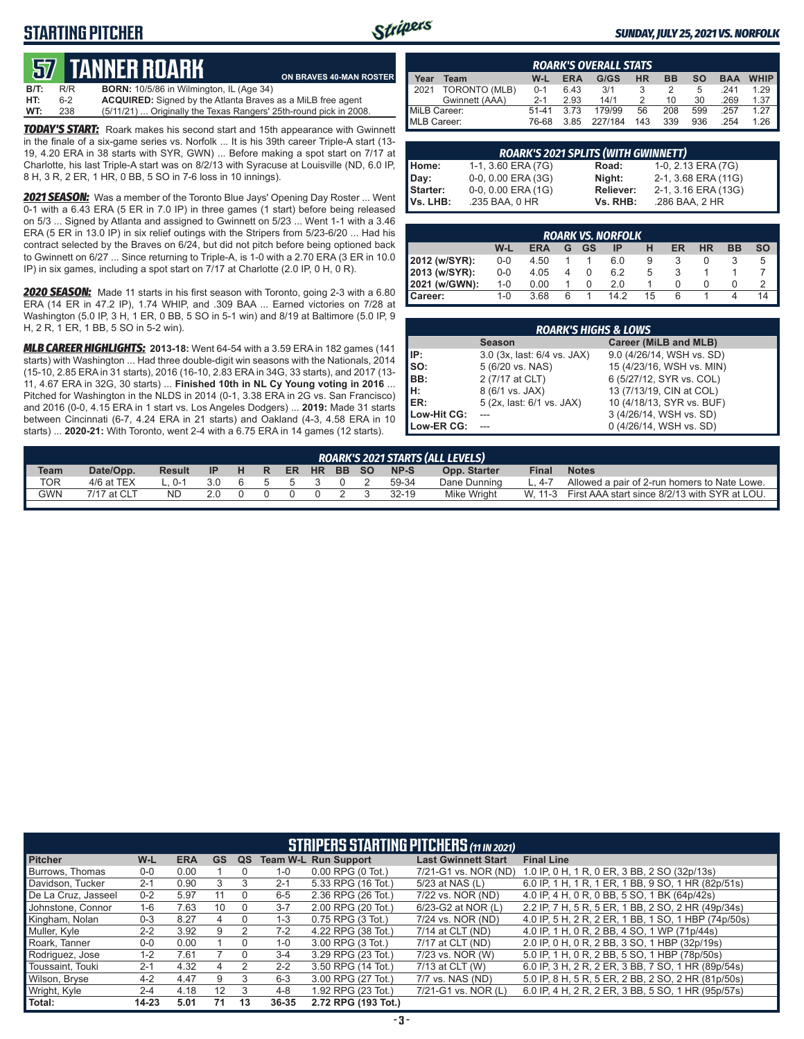# **STARTING PITCHER**



#### *SUNDAY, JULY 25, 2021 VS. NORFOLK*

# **57****TANNER ROARK**

|         |     | QV TANNLITIOANII                                                   | ON BRAVES 40-MAN ROSTER |
|---------|-----|--------------------------------------------------------------------|-------------------------|
| $B/T$ : | R/R | <b>BORN:</b> 10/5/86 in Wilmington, IL (Age 34)                    |                         |
| HT:     | հ-2 | <b>ACQUIRED:</b> Signed by the Atlanta Braves as a MiLB free agent |                         |
| WT:     | 238 | (5/11/21)  Originally the Texas Rangers' 25th-round pick in 2008.  |                         |

*TODAY'S START:* Roark makes his second start and 15th appearance with Gwinnett in the finale of a six-game series vs. Norfolk ... It is his 39th career Triple-A start (13- 19, 4.20 ERA in 38 starts with SYR, GWN) ... Before making a spot start on 7/17 at Charlotte, his last Triple-A start was on 8/2/13 with Syracuse at Louisville (ND, 6.0 IP, 8 H, 3 R, 2 ER, 1 HR, 0 BB, 5 SO in 7-6 loss in 10 innings).

*2021 SEASON:* Was a member of the Toronto Blue Jays' Opening Day Roster ... Went 0-1 with a 6.43 ERA (5 ER in 7.0 IP) in three games (1 start) before being released on 5/3 ... Signed by Atlanta and assigned to Gwinnett on 5/23 ... Went 1-1 with a 3.46 ERA (5 ER in 13.0 IP) in six relief outings with the Stripers from 5/23-6/20 ... Had his contract selected by the Braves on 6/24, but did not pitch before being optioned back to Gwinnett on 6/27 ... Since returning to Triple-A, is 1-0 with a 2.70 ERA (3 ER in 10.0 IP) in six games, including a spot start on 7/17 at Charlotte (2.0 IP, 0 H, 0 R).

*2020 SEASON:* Made 11 starts in his first season with Toronto, going 2-3 with a 6.80 ERA (14 ER in 47.2 IP), 1.74 WHIP, and .309 BAA ... Earned victories on 7/28 at Washington (5.0 IP, 3 H, 1 ER, 0 BB, 5 SO in 5-1 win) and 8/19 at Baltimore (5.0 IP, 9 H, 2 R, 1 ER, 1 BB, 5 SO in 5-2 win).

*MLB CAREER HIGHLIGHTS:* **2013-18:** Went 64-54 with a 3.59 ERA in 182 games (141 starts) with Washington ... Had three double-digit win seasons with the Nationals, 2014 (15-10, 2.85 ERA in 31 starts), 2016 (16-10, 2.83 ERA in 34G, 33 starts), and 2017 (13- 11, 4.67 ERA in 32G, 30 starts) ... **Finished 10th in NL Cy Young voting in 2016** ... Pitched for Washington in the NLDS in 2014 (0-1, 3.38 ERA in 2G vs. San Francisco) and 2016 (0-0, 4.15 ERA in 1 start vs. Los Angeles Dodgers) ... **2019:** Made 31 starts between Cincinnati (6-7, 4.24 ERA in 21 starts) and Oakland (4-3, 4.58 ERA in 10 starts) ... **2020-21:** With Toronto, went 2-4 with a 6.75 ERA in 14 games (12 starts).

|                     | <b>ROARK'S OVERALL STATS</b>                                                                            |           |      |         |     |     |     |      |      |  |  |  |  |  |
|---------------------|---------------------------------------------------------------------------------------------------------|-----------|------|---------|-----|-----|-----|------|------|--|--|--|--|--|
| Year                | <b>WHIP</b><br><b>HR</b><br>G/GS<br><b>ERA</b><br><b>BB</b><br><b>SO</b><br><b>BAA</b><br>$W-L$<br>Team |           |      |         |     |     |     |      |      |  |  |  |  |  |
| 2021                | TORONTO (MLB)                                                                                           | $0 - 1$   | 6.43 | 3/1     | 3   |     | 5   | 241  | 1 29 |  |  |  |  |  |
|                     | Gwinnett (AAA)                                                                                          | $2 - 1$   | 2.93 | 14/1    |     | 10  | 30  | .269 | 1.37 |  |  |  |  |  |
| MiLB Career:        |                                                                                                         | $51 - 41$ | 3.73 | 179/99  | 56  | 208 | 599 | .257 | 1.27 |  |  |  |  |  |
| <b>IMLB Career:</b> |                                                                                                         | 76-68     | 385  | 227/184 | 143 | 339 | 936 | 254  | 1.26 |  |  |  |  |  |

|                 | <b>ROARK'S 2021 SPLITS (WITH GWINNETT)</b> |           |                     |  |  |  |  |  |  |  |  |
|-----------------|--------------------------------------------|-----------|---------------------|--|--|--|--|--|--|--|--|
| Home:           | 1-1, 3.60 ERA (7G)                         | Road:     | 1-0, 2.13 ERA (7G)  |  |  |  |  |  |  |  |  |
| Day:            | 0-0, 0.00 ERA (3G)                         | Night:    | 2-1, 3.68 ERA (11G) |  |  |  |  |  |  |  |  |
| <b>Starter:</b> | $0-0$ , $0.00$ ERA $(1G)$                  | Reliever: | 2-1, 3.16 ERA (13G) |  |  |  |  |  |  |  |  |
| Vs. LHB:        | .235 BAA, 0 HR                             | Vs. RHB:  | .286 BAA, 2 HR      |  |  |  |  |  |  |  |  |

| <b>ROARK VS. NORFOLK</b> |                                                                                 |      |  |  |      |    |   |  |  |    |  |  |  |  |
|--------------------------|---------------------------------------------------------------------------------|------|--|--|------|----|---|--|--|----|--|--|--|--|
|                          | W-L<br><b>ER</b><br><b>HR</b><br>BB<br><b>SO</b><br><b>ERA</b><br>GS<br>ΙP<br>G |      |  |  |      |    |   |  |  |    |  |  |  |  |
| 2012 (w/SYR):            | $0 - 0$                                                                         | 4.50 |  |  | 6.0  | 9  |   |  |  | 5  |  |  |  |  |
| 2013 (w/SYR):            | $0 - 0$                                                                         | 4.05 |  |  | 6.2  | 5  |   |  |  |    |  |  |  |  |
| 2021 (w/GWN):            | $1 - 0$                                                                         | 0.00 |  |  | 2.0  |    |   |  |  |    |  |  |  |  |
| I Career:                | $1 - 0$                                                                         | 3.68 |  |  | 14.2 | 15 | 6 |  |  | 14 |  |  |  |  |

|             | <b>ROARK'S HIGHS &amp; LOWS</b> |                           |  |  |  |  |  |  |  |  |  |
|-------------|---------------------------------|---------------------------|--|--|--|--|--|--|--|--|--|
|             | <b>Season</b>                   | Career (MiLB and MLB)     |  |  |  |  |  |  |  |  |  |
| IP:         | 3.0 (3x, last: 6/4 vs. JAX)     | 9.0 (4/26/14, WSH vs. SD) |  |  |  |  |  |  |  |  |  |
| Iso:        | 5 (6/20 vs. NAS)                | 15 (4/23/16, WSH vs. MIN) |  |  |  |  |  |  |  |  |  |
| BB:         | 2 (7/17 at CLT)                 | 6 (5/27/12, SYR vs. COL)  |  |  |  |  |  |  |  |  |  |
| IH:         | 8 (6/1 vs. JAX)                 | 13 (7/13/19, CIN at COL)  |  |  |  |  |  |  |  |  |  |
| IER:        | 5 (2x, last: 6/1 vs. JAX)       | 10 (4/18/13, SYR vs. BUF) |  |  |  |  |  |  |  |  |  |
| Low-Hit CG: |                                 | 3 (4/26/14, WSH vs. SD)   |  |  |  |  |  |  |  |  |  |
| Low-ER CG:  |                                 | 0 (4/26/14, WSH vs. SD)   |  |  |  |  |  |  |  |  |  |

| ROARK'S 2021 STARTS (ALL LEVELS) |             |               |           |   |    |    |           |       |  |           |              |              |                                                       |
|----------------------------------|-------------|---------------|-----------|---|----|----|-----------|-------|--|-----------|--------------|--------------|-------------------------------------------------------|
| <b>Team</b>                      | Date/Opp.   | <b>Result</b> | <b>IP</b> | н | R. | ER | <b>HR</b> | BB SO |  | NP-S      | Opp. Starter | <b>Final</b> | <b>Notes</b>                                          |
| TOR.                             | 4/6 at TEX  | ∩-1           | 3.0       |   |    |    |           |       |  | 59-34     | Dane Dunning | 4-7          | Allowed a pair of 2-run homers to Nate Lowe.          |
| <b>GWN</b>                       | 7/17 at CLT | <b>ND</b>     | 2.0       |   |    |    |           |       |  | $32 - 19$ | Mike Wright  |              | W, 11-3 First AAA start since 8/2/13 with SYR at LOU. |
|                                  |             |               |           |   |    |    |           |       |  |           |              |              |                                                       |

|                     | <b>STRIPERS STARTING PITCHERS (11 IN 2021)</b> |            |           |    |                 |                       |                            |                                                     |  |  |  |  |  |
|---------------------|------------------------------------------------|------------|-----------|----|-----------------|-----------------------|----------------------------|-----------------------------------------------------|--|--|--|--|--|
| <b>Pitcher</b>      | W-L                                            | <b>ERA</b> | <b>GS</b> | QS | <b>Team W-L</b> | <b>Run Support</b>    | <b>Last Gwinnett Start</b> | <b>Final Line</b>                                   |  |  |  |  |  |
| Burrows. Thomas     | $0-0$                                          | 0.00       |           |    | $1 - 0$         | $0.00$ RPG $(0$ Tot.) | 7/21-G1 vs. NOR (ND)       | 1.0 IP, 0 H, 1 R, 0 ER, 3 BB, 2 SO (32p/13s)        |  |  |  |  |  |
| Davidson, Tucker    | $2 - 1$                                        | 0.90       | 3         | 3  | $2 - 1$         | 5.33 RPG (16 Tot.)    | 5/23 at NAS (L)            | 6.0 IP, 1 H, 1 R, 1 ER, 1 BB, 9 SO, 1 HR (82p/51s)  |  |  |  |  |  |
| De La Cruz, Jasseel | $0 - 2$                                        | 5.97       | 11        |    | $6 - 5$         | 2.36 RPG (26 Tot.)    | 7/22 vs. NOR (ND)          | 4.0 IP. 4 H. 0 R. 0 BB. 5 SO. 1 BK (64p/42s)        |  |  |  |  |  |
| Johnstone, Connor   | 1-6                                            | 7.63       | 10        |    | $3 - 7$         | 2.00 RPG (20 Tot.)    | 6/23-G2 at NOR (L)         | 2.2 IP. 7 H. 5 R. 5 ER. 1 BB. 2 SO. 2 HR (49p/34s)  |  |  |  |  |  |
| Kingham, Nolan      | $0 - 3$                                        | 8.27       | 4         | 0  | $1 - 3$         | $0.75$ RPG $(3$ Tot.) | 7/24 vs. NOR (ND)          | 4.0 IP, 5 H, 2 R, 2 ER, 1 BB, 1 SO, 1 HBP (74p/50s) |  |  |  |  |  |
| Muller, Kyle        | $2 - 2$                                        | 3.92       | 9         |    | $7-2$           | 4.22 RPG (38 Tot.)    | 7/14 at CLT (ND)           | 4.0 IP. 1 H, 0 R, 2 BB, 4 SO, 1 WP (71p/44s)        |  |  |  |  |  |
| Roark, Tanner       | $0-0$                                          | 0.00       |           |    | $1 - 0$         | 3.00 RPG (3 Tot.)     | 7/17 at CLT (ND)           | 2.0 IP, 0 H, 0 R, 2 BB, 3 SO, 1 HBP (32p/19s)       |  |  |  |  |  |
| Rodriguez, Jose     | $1 - 2$                                        | 7.61       |           |    | $3 - 4$         | 3.29 RPG (23 Tot.)    | 7/23 vs. NOR (W)           | 5.0 IP, 1 H, 0 R, 2 BB, 5 SO, 1 HBP (78p/50s)       |  |  |  |  |  |
| Toussaint. Touki    | $2 - 1$                                        | 4.32       | 4         | 2  | $2 - 2$         | 3.50 RPG (14 Tot.)    | 7/13 at CLT (W)            | 6.0 IP, 3 H, 2 R, 2 ER, 3 BB, 7 SO, 1 HR (89p/54s)  |  |  |  |  |  |
| Wilson, Bryse       | $4 - 2$                                        | 4.47       | 9         | 3  | $6 - 3$         | 3.00 RPG (27 Tot.)    | 7/7 vs. NAS (ND)           | 5.0 IP, 8 H, 5 R, 5 ER, 2 BB, 2 SO, 2 HR (81p/50s)  |  |  |  |  |  |
| Wright, Kyle        | $2 - 4$                                        | 4.18       | 12        | 3  | $4 - 8$         | 1.92 RPG (23 Tot.)    | 7/21-G1 vs. NOR (L)        | 6.0 IP, 4 H, 2 R, 2 ER, 3 BB, 5 SO, 1 HR (95p/57s)  |  |  |  |  |  |
| Total:              | $14 - 23$                                      | 5.01       | 71        | 13 | 36-35           | 2.72 RPG (193 Tot.)   |                            |                                                     |  |  |  |  |  |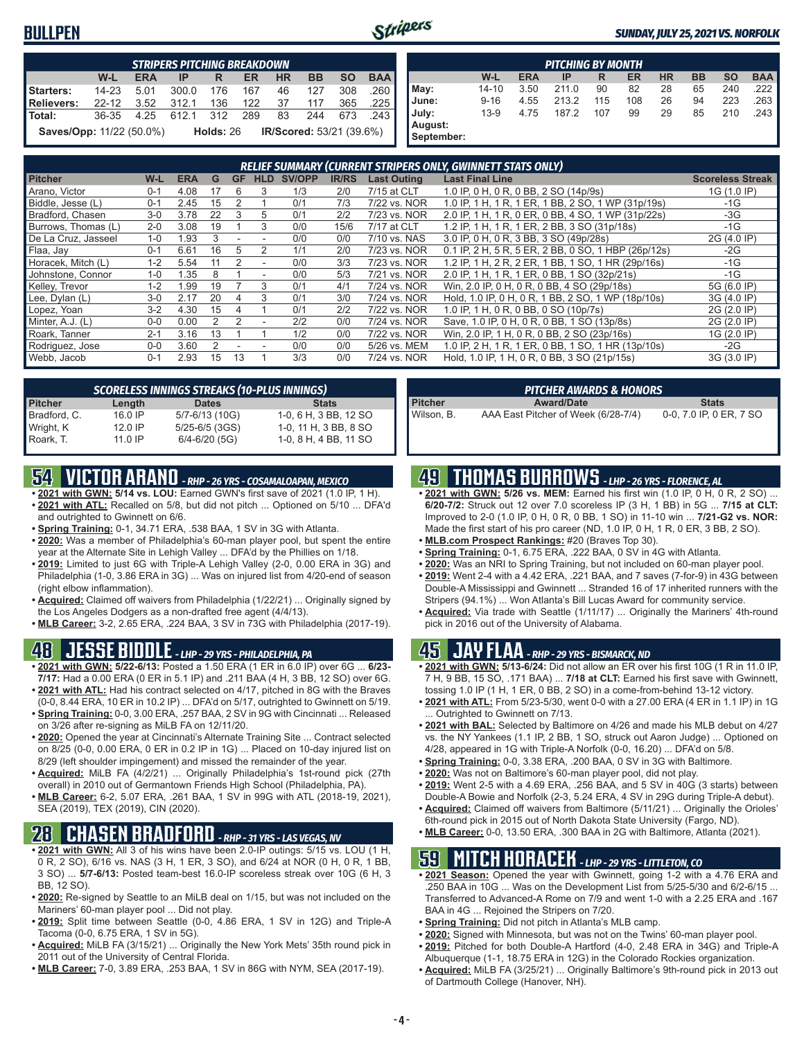## **BULLPEN**



#### *SUNDAY, JULY 25, 2021 VS. NORFOLK*

|                                 | <b>STRIPERS PITCHING BREAKDOWN</b>                                                      |      |       |             |     |    |                                 |     |      |  |  |  |  |
|---------------------------------|-----------------------------------------------------------------------------------------|------|-------|-------------|-----|----|---------------------------------|-----|------|--|--|--|--|
|                                 | <b>SO</b><br><b>BAA</b><br>W-L<br><b>HR</b><br><b>BB</b><br><b>ERA</b><br>ER<br>IP<br>R |      |       |             |     |    |                                 |     |      |  |  |  |  |
| Starters:                       | $14 - 23$                                                                               | 5.01 | 300.0 | 176         | 167 | 46 | 127                             | 308 | .260 |  |  |  |  |
| Relievers:                      | $22-12$                                                                                 | 3.52 | 312.1 | 136         | 122 | 37 | 117                             | 365 | .225 |  |  |  |  |
| l Total:                        | 36-35                                                                                   | 4.25 | 612.1 | 312         | 289 | 83 | 244                             | 673 | 243  |  |  |  |  |
| <b>Saves/Opp: 11/22 (50.0%)</b> |                                                                                         |      |       | Holds: $26$ |     |    | <b>IR/Scored: 53/21 (39.6%)</b> |     |      |  |  |  |  |

| <b>PITCHING BY MONTH</b> |          |            |       |     |     |           |           |           |            |
|--------------------------|----------|------------|-------|-----|-----|-----------|-----------|-----------|------------|
|                          | W-L      | <b>ERA</b> | IP    | R   | ER  | <b>HR</b> | <b>BB</b> | <b>SO</b> | <b>BAA</b> |
| May:                     | 14-10    | 3.50       | 211.0 | 90  | 82  | 28        | 65        | 240       | .222 I     |
| June:                    | $9 - 16$ | 4.55       | 213.2 | 115 | 108 | 26        | 94        | 223       | .263       |
| July:                    | $13-9$   | 4.75       | 187.2 | 107 | 99  | 29        | 85        | 210       | .243       |
| August:<br>September:    |          |            |       |     |     |           |           |           |            |

| <b>RELIEF SUMMARY (CURRENT STRIPERS ONLY, GWINNETT STATS ONLY)</b> |         |            |    |    |            |        |              |                    |                                                     |                         |
|--------------------------------------------------------------------|---------|------------|----|----|------------|--------|--------------|--------------------|-----------------------------------------------------|-------------------------|
| <b>Pitcher</b>                                                     | W-L     | <b>ERA</b> | G  | GF | <b>HLD</b> | SV/OPP | <b>IR/RS</b> | <b>Last Outing</b> | <b>Last Final Line</b>                              | <b>Scoreless Streak</b> |
| Arano, Victor                                                      | $0 - 1$ | 4.08       | 17 | 6  | 3          | 1/3    | 2/0          | 7/15 at CLT        | 1.0 IP, 0 H, 0 R, 0 BB, 2 SO (14p/9s)               | 1G (1.0 IP)             |
| Biddle, Jesse (L)                                                  | $0 - 1$ | 2.45       | 15 |    |            | 0/1    | 7/3          | 7/22 vs. NOR       | 1.0 IP, 1 H, 1 R, 1 ER, 1 BB, 2 SO, 1 WP (31p/19s)  | $-1G$                   |
| Bradford, Chasen                                                   | $3-0$   | 3.78       | 22 | 3  | 5          | 0/1    | 2/2          | 7/23 vs. NOR       | 2.0 IP, 1 H, 1 R, 0 ER, 0 BB, 4 SO, 1 WP (31p/22s)  | $-3G$                   |
| Burrows, Thomas (L)                                                | $2 - 0$ | 3.08       | 19 |    | 3          | 0/0    | 15/6         | 7/17 at CLT        | 1.2 IP, 1 H, 1 R, 1 ER, 2 BB, 3 SO (31p/18s)        | $-1G$                   |
| De La Cruz, Jasseel                                                | $1 - 0$ | l.93       |    |    |            | 0/0    | 0/0          | 7/10 vs. NAS       | 3.0 IP, 0 H, 0 R, 3 BB, 3 SO (49p/28s)              | 2G (4.0 IP)             |
| Flaa, Jay                                                          | $0 - 1$ | 6.61       | 16 | 5  | 2          | 1/1    | 2/0          | 7/23 vs. NOR       | 0.1 IP, 2 H, 5 R, 5 ER, 2 BB, 0 SO, 1 HBP (26p/12s) | $-2G$                   |
| Horacek, Mitch (L)                                                 | $1 - 2$ | 5.54       |    | 2  |            | 0/0    | 3/3          | 7/23 vs. NOR       | 1.2 IP, 1 H, 2 R, 2 ER, 1 BB, 1 SO, 1 HR (29p/16s)  | $-1G$                   |
| Johnstone, Connor                                                  | $1 - 0$ | .35        |    |    |            | 0/0    | 5/3          | 7/21 vs. NOR       | 2.0 IP, 1 H, 1 R, 1 ER, 0 BB, 1 SO (32p/21s)        | $-1G$                   |
| Kelley, Trevor                                                     | $1 - 2$ | l.99       | 19 |    | 3          | 0/1    | 4/1          | 7/24 vs. NOR       | Win, 2.0 IP, 0 H, 0 R, 0 BB, 4 SO (29p/18s)         | 5G (6.0 IP)             |
| Lee, Dylan (L)                                                     | $3-0$   | 2.17       | 20 |    | 3          | 0/1    | 3/0          | 7/24 vs. NOR       | Hold, 1.0 IP, 0 H, 0 R, 1 BB, 2 SO, 1 WP (18p/10s)  | 3G (4.0 IP)             |
| Lopez, Yoan                                                        | $3-2$   | 4.30       | 15 |    |            | 0/1    | 2/2          | 7/22 vs. NOR       | 1.0 IP, 1 H, 0 R, 0 BB, 0 SO (10p/7s)               | 2G (2.0 IP)             |
| Minter, A.J. (L)                                                   | $0 - 0$ | 0.00       |    | 2  |            | 2/2    | 0/0          | 7/24 vs. NOR       | Save, 1.0 IP, 0 H, 0 R, 0 BB, 1 SO (13p/8s)         | 2G (2.0 IP)             |
| Roark, Tanner                                                      | $2 - 1$ | 3.16       | 13 |    |            | 1/2    | 0/0          | 7/22 vs. NOR       | Win, 2.0 IP, 1 H, 0 R, 0 BB, 2 SO (23p/16s)         | 1G (2.0 IP)             |
| Rodriguez, Jose                                                    | $0 - 0$ | 3.60       |    |    |            | 0/0    | 0/0          | 5/26 vs. MEM       | 1.0 IP, 2 H, 1 R, 1 ER, 0 BB, 1 SO, 1 HR (13p/10s)  | $-2G$                   |
| Webb, Jacob                                                        | $0 - 1$ | 2.93       | 15 | 13 |            | 3/3    | 0/0          | 7/24 vs. NOR       | Hold, 1.0 IP, 1 H, 0 R, 0 BB, 3 SO (21p/15s)        | 3G (3.0 IP)             |

| <b>SCORELESS INNINGS STREAKS (10-PLUS INNINGS)</b> |           |                   |                       |  |  |  |  |  |
|----------------------------------------------------|-----------|-------------------|-----------------------|--|--|--|--|--|
| <b>Pitcher</b>                                     | Length    | <b>Dates</b>      | <b>Stats</b>          |  |  |  |  |  |
| Bradford, C.                                       | 16.0 IP   | 5/7-6/13 (10G)    | 1-0, 6 H, 3 BB, 12 SO |  |  |  |  |  |
| Wright, K                                          | $12.0$ IP | 5/25-6/5 (3GS)    | 1-0, 11 H, 3 BB, 8 SO |  |  |  |  |  |
| Roark, T.                                          | $11.0$ IP | $6/4 - 6/20$ (5G) | 1-0, 8 H, 4 BB, 11 SO |  |  |  |  |  |

# **54 VICTOR ARANO** *- RHP - 26 YRS - COSAMALOAPAN, MEXICO*

- **• 2021 with GWN: 5/14 vs. LOU:** Earned GWN's first save of 2021 (1.0 IP, 1 H). **• 2021 with ATL:** Recalled on 5/8, but did not pitch ... Optioned on 5/10 ... DFA'd and outrighted to Gwinnett on 6/6.
- **• Spring Training:** 0-1, 34.71 ERA, .538 BAA, 1 SV in 3G with Atlanta.
- **• 2020:** Was a member of Philadelphia's 60-man player pool, but spent the entire year at the Alternate Site in Lehigh Valley ... DFA'd by the Phillies on 1/18.
- **• 2019:** Limited to just 6G with Triple-A Lehigh Valley (2-0, 0.00 ERA in 3G) and Philadelphia (1-0, 3.86 ERA in 3G) ... Was on injured list from 4/20-end of season (right elbow inflammation).
- **• Acquired:** Claimed off waivers from Philadelphia (1/22/21) ... Originally signed by the Los Angeles Dodgers as a non-drafted free agent (4/4/13).
- **• MLB Career:** 3-2, 2.65 ERA, .224 BAA, 3 SV in 73G with Philadelphia (2017-19).

### **48 JESSE BIDDLE** *- LHP - 29 YRS - PHILADELPHIA, PA*

- **• 2021 with GWN: 5/22-6/13:** Posted a 1.50 ERA (1 ER in 6.0 IP) over 6G ... **6/23- 7/17:** Had a 0.00 ERA (0 ER in 5.1 IP) and .211 BAA (4 H, 3 BB, 12 SO) over 6G. **• 2021 with ATL:** Had his contract selected on 4/17, pitched in 8G with the Braves
- (0-0, 8.44 ERA, 10 ER in 10.2 IP) ... DFA'd on 5/17, outrighted to Gwinnett on 5/19. **• Spring Training:** 0-0, 3.00 ERA, .257 BAA, 2 SV in 9G with Cincinnati ... Released
- on 3/26 after re-signing as MiLB FA on 12/11/20. **• 2020:** Opened the year at Cincinnati's Alternate Training Site ... Contract selected on 8/25 (0-0, 0.00 ERA, 0 ER in 0.2 IP in 1G) ... Placed on 10-day injured list on
- 8/29 (left shoulder impingement) and missed the remainder of the year. **• Acquired:** MiLB FA (4/2/21) ... Originally Philadelphia's 1st-round pick (27th
- overall) in 2010 out of Germantown Friends High School (Philadelphia, PA). **• MLB Career:** 6-2, 5.07 ERA, .261 BAA, 1 SV in 99G with ATL (2018-19, 2021), SEA (2019), TEX (2019), CIN (2020).

# **28 CHASEN BRADFORD** *- RHP - 31 YRS - LAS VEGAS, NV*

- **• 2021 with GWN:** All 3 of his wins have been 2.0-IP outings: 5/15 vs. LOU (1 H, 0 R, 2 SO), 6/16 vs. NAS (3 H, 1 ER, 3 SO), and 6/24 at NOR (0 H, 0 R, 1 BB, 3 SO) ... **5/7-6/13:** Posted team-best 16.0-IP scoreless streak over 10G (6 H, 3 BB, 12 SO).
- **• 2020:** Re-signed by Seattle to an MiLB deal on 1/15, but was not included on the Mariners' 60-man player pool ... Did not play.
- **• 2019:** Split time between Seattle (0-0, 4.86 ERA, 1 SV in 12G) and Triple-A Tacoma (0-0, 6.75 ERA, 1 SV in 5G).
- **• Acquired:** MiLB FA (3/15/21) ... Originally the New York Mets' 35th round pick in 2011 out of the University of Central Florida.
- **• MLB Career:** 7-0, 3.89 ERA, .253 BAA, 1 SV in 86G with NYM, SEA (2017-19).

| PITCHER AWARDS & HONORS |                                     |                         |  |  |  |  |  |
|-------------------------|-------------------------------------|-------------------------|--|--|--|--|--|
| <b>Pitcher</b>          | <b>Award/Date</b>                   | <b>Stats</b>            |  |  |  |  |  |
| Wilson, B.              | AAA East Pitcher of Week (6/28-7/4) | 0-0, 7.0 IP, 0 ER, 7 SO |  |  |  |  |  |

# **49 THOMAS BURROWS** *- LHP - 26 YRS - FLORENCE, AL*

- **• 2021 with GWN: 5/26 vs. MEM:** Earned his first win (1.0 IP, 0 H, 0 R, 2 SO) ... **6/20-7/2:** Struck out 12 over 7.0 scoreless IP (3 H, 1 BB) in 5G ... **7/15 at CLT:** Improved to 2-0 (1.0 IP, 0 H, 0 R, 0 BB, 1 SO) in 11-10 win ... **7/21-G2 vs. NOR:** Made the first start of his pro career (ND, 1.0 IP, 0 H, 1 R, 0 ER, 3 BB, 2 SO).
- **• MLB.com Prospect Rankings:** #20 (Braves Top 30).
- **• Spring Training:** 0-1, 6.75 ERA, .222 BAA, 0 SV in 4G with Atlanta.
- **• 2020:** Was an NRI to Spring Training, but not included on 60-man player pool.
- **• 2019:** Went 2-4 with a 4.42 ERA, .221 BAA, and 7 saves (7-for-9) in 43G between Double-A Mississippi and Gwinnett ... Stranded 16 of 17 inherited runners with the Stripers (94.1%) ... Won Atlanta's Bill Lucas Award for community service.
- **• Acquired:** Via trade with Seattle (1/11/17) ... Originally the Mariners' 4th-round pick in 2016 out of the University of Alabama.

# **45 JAY FLAA** *- RHP - 29 YRS - BISMARCK, ND*

- **• 2021 with GWN: 5/13-6/24:** Did not allow an ER over his first 10G (1 R in 11.0 IP, 7 H, 9 BB, 15 SO, .171 BAA) ... **7/18 at CLT:** Earned his first save with Gwinnett, tossing 1.0 IP (1 H, 1 ER, 0 BB, 2 SO) in a come-from-behind 13-12 victory.
- **• 2021 with ATL:** From 5/23-5/30, went 0-0 with a 27.00 ERA (4 ER in 1.1 IP) in 1G Outrighted to Gwinnett on 7/13.
- **• 2021 with BAL:** Selected by Baltimore on 4/26 and made his MLB debut on 4/27 vs. the NY Yankees (1.1 IP, 2 BB, 1 SO, struck out Aaron Judge) ... Optioned on 4/28, appeared in 1G with Triple-A Norfolk (0-0, 16.20) ... DFA'd on 5/8.
- **• Spring Training:** 0-0, 3.38 ERA, .200 BAA, 0 SV in 3G with Baltimore.
- **• 2020:** Was not on Baltimore's 60-man player pool, did not play.
- **• 2019:** Went 2-5 with a 4.69 ERA, .256 BAA, and 5 SV in 40G (3 starts) between Double-A Bowie and Norfolk (2-3, 5.24 ERA, 4 SV in 29G during Triple-A debut).
- **• Acquired:** Claimed off waivers from Baltimore (5/11/21) ... Originally the Orioles' 6th-round pick in 2015 out of North Dakota State University (Fargo, ND).
- **• MLB Career:** 0-0, 13.50 ERA, .300 BAA in 2G with Baltimore, Atlanta (2021).

# **59 MITCH HORACEK** *- LHP - 29 YRS - LITTLETON, CO*

- **• 2021 Season:** Opened the year with Gwinnett, going 1-2 with a 4.76 ERA and .250 BAA in 10G ... Was on the Development List from 5/25-5/30 and 6/2-6/15 ... Transferred to Advanced-A Rome on 7/9 and went 1-0 with a 2.25 ERA and .167 BAA in 4G ... Rejoined the Stripers on 7/20.
- **• Spring Training:** Did not pitch in Atlanta's MLB camp.
- **• 2020:** Signed with Minnesota, but was not on the Twins' 60-man player pool.
- **• 2019:** Pitched for both Double-A Hartford (4-0, 2.48 ERA in 34G) and Triple-A
- Albuquerque (1-1, 18.75 ERA in 12G) in the Colorado Rockies organization. **• Acquired:** MiLB FA (3/25/21) ... Originally Baltimore's 9th-round pick in 2013 out of Dartmouth College (Hanover, NH).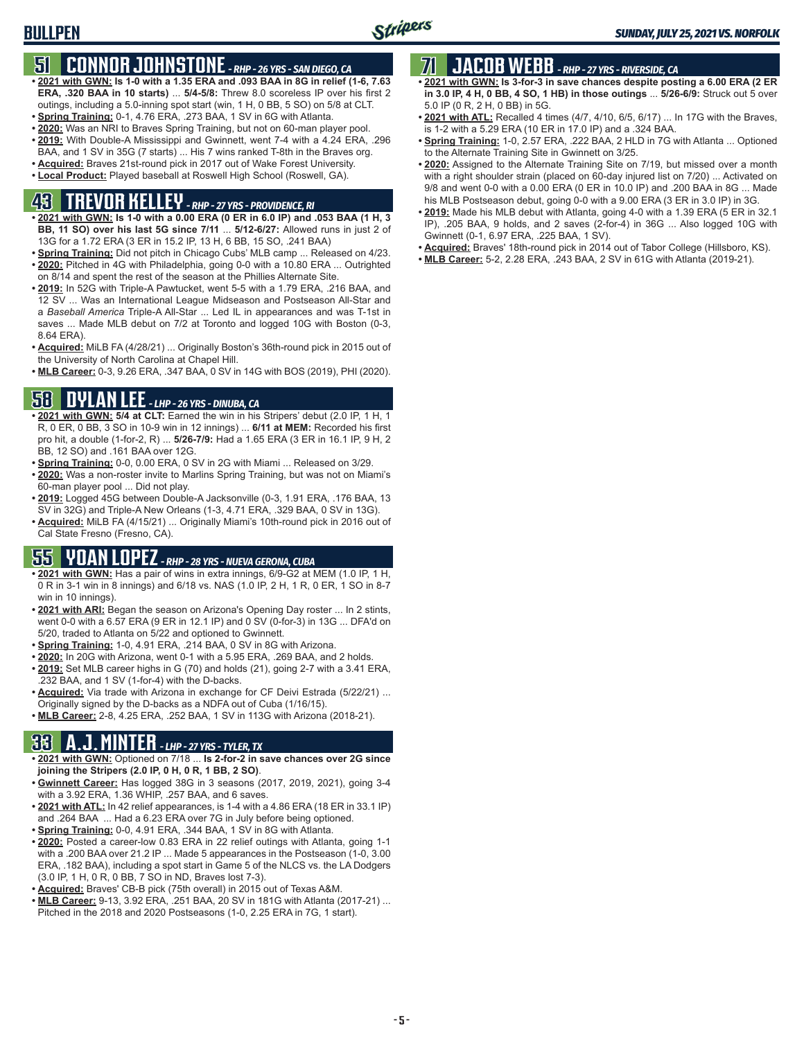# **51 CONNOR JOHNSTONE** *- RHP - 26 YRS - SAN DIEGO, CA*

- **• 2021 with GWN: Is 1-0 with a 1.35 ERA and .093 BAA in 8G in relief (1-6, 7.63 ERA, .320 BAA in 10 starts)** ... **5/4-5/8:** Threw 8.0 scoreless IP over his first 2 outings, including a 5.0-inning spot start (win, 1 H, 0 BB, 5 SO) on 5/8 at CLT.
- **• Spring Training:** 0-1, 4.76 ERA, .273 BAA, 1 SV in 6G with Atlanta.
- **• 2020:** Was an NRI to Braves Spring Training, but not on 60-man player pool. **• 2019:** With Double-A Mississippi and Gwinnett, went 7-4 with a 4.24 ERA, .296
- BAA, and 1 SV in 35G (7 starts) ... His 7 wins ranked T-8th in the Braves org. **• Acquired:** Braves 21st-round pick in 2017 out of Wake Forest University.
- **• Local Product:** Played baseball at Roswell High School (Roswell, GA).

# **43 TREVOR KELLEY** *- RHP - 27 YRS - PROVIDENCE, RI*

- **• 2021 with GWN: Is 1-0 with a 0.00 ERA (0 ER in 6.0 IP) and .053 BAA (1 H, 3 BB, 11 SO) over his last 5G since 7/11** ... **5/12-6/27:** Allowed runs in just 2 of 13G for a 1.72 ERA (3 ER in 15.2 IP, 13 H, 6 BB, 15 SO, .241 BAA)
- **• Spring Training:** Did not pitch in Chicago Cubs' MLB camp ... Released on 4/23. **• 2020:** Pitched in 4G with Philadelphia, going 0-0 with a 10.80 ERA ... Outrighted on 8/14 and spent the rest of the season at the Phillies Alternate Site.
- **• 2019:** In 52G with Triple-A Pawtucket, went 5-5 with a 1.79 ERA, .216 BAA, and 12 SV ... Was an International League Midseason and Postseason All-Star and a *Baseball America* Triple-A All-Star ... Led IL in appearances and was T-1st in saves ... Made MLB debut on 7/2 at Toronto and logged 10G with Boston (0-3, 8.64 ERA).
- **• Acquired:** MiLB FA (4/28/21) ... Originally Boston's 36th-round pick in 2015 out of the University of North Carolina at Chapel Hill.
- **• MLB Career:** 0-3, 9.26 ERA, .347 BAA, 0 SV in 14G with BOS (2019), PHI (2020).

# **58 DYLAN LEE** *- LHP - 26 YRS - DINUBA, CA*

- **• 2021 with GWN: 5/4 at CLT:** Earned the win in his Stripers' debut (2.0 IP, 1 H, 1 R, 0 ER, 0 BB, 3 SO in 10-9 win in 12 innings) ... **6/11 at MEM:** Recorded his first pro hit, a double (1-for-2, R) ... **5/26-7/9:** Had a 1.65 ERA (3 ER in 16.1 IP, 9 H, 2 BB, 12 SO) and .161 BAA over 12G.
- **• Spring Training:** 0-0, 0.00 ERA, 0 SV in 2G with Miami ... Released on 3/29.
- **• 2020:** Was a non-roster invite to Marlins Spring Training, but was not on Miami's 60-man player pool ... Did not play.
- **• 2019:** Logged 45G between Double-A Jacksonville (0-3, 1.91 ERA, .176 BAA, 13 SV in 32G) and Triple-A New Orleans (1-3, 4.71 ERA, .329 BAA, 0 SV in 13G).
- **• Acquired:** MiLB FA (4/15/21) ... Originally Miami's 10th-round pick in 2016 out of Cal State Fresno (Fresno, CA).

# **55 YOAN LOPEZ** *- RHP - 28 YRS - NUEVA GERONA, CUBA*

- **• 2021 with GWN:** Has a pair of wins in extra innings, 6/9-G2 at MEM (1.0 IP, 1 H, 0 R in 3-1 win in 8 innings) and 6/18 vs. NAS (1.0 IP, 2 H, 1 R, 0 ER, 1 SO in 8-7 win in 10 innings).
- **• 2021 with ARI:** Began the season on Arizona's Opening Day roster ... In 2 stints, went 0-0 with a 6.57 ERA (9 ER in 12.1 IP) and 0 SV (0-for-3) in 13G ... DFA'd on 5/20, traded to Atlanta on 5/22 and optioned to Gwinnett.
- **• Spring Training:** 1-0, 4.91 ERA, .214 BAA, 0 SV in 8G with Arizona.
- **• 2020:** In 20G with Arizona, went 0-1 with a 5.95 ERA, .269 BAA, and 2 holds.
- **• 2019:** Set MLB career highs in G (70) and holds (21), going 2-7 with a 3.41 ERA, .232 BAA, and 1 SV (1-for-4) with the D-backs.
- **• Acquired:** Via trade with Arizona in exchange for CF Deivi Estrada (5/22/21) ... Originally signed by the D-backs as a NDFA out of Cuba (1/16/15).
- **• MLB Career:** 2-8, 4.25 ERA, .252 BAA, 1 SV in 113G with Arizona (2018-21).

# **33 A.J. MINTER** *- LHP - 27 YRS - TYLER, TX*

- **• 2021 with GWN:** Optioned on 7/18 ... **Is 2-for-2 in save chances over 2G since joining the Stripers (2.0 IP, 0 H, 0 R, 1 BB, 2 SO)**.
- **• Gwinnett Career:** Has logged 38G in 3 seasons (2017, 2019, 2021), going 3-4 with a 3.92 ERA, 1.36 WHIP, .257 BAA, and 6 saves.
- **• 2021 with ATL:** In 42 relief appearances, is 1-4 with a 4.86 ERA (18 ER in 33.1 IP) and .264 BAA ... Had a 6.23 ERA over 7G in July before being optioned.
- **• Spring Training:** 0-0, 4.91 ERA, .344 BAA, 1 SV in 8G with Atlanta.
- **• 2020:** Posted a career-low 0.83 ERA in 22 relief outings with Atlanta, going 1-1 with a .200 BAA over 21.2 IP ... Made 5 appearances in the Postseason (1-0, 3.00 ERA, .182 BAA), including a spot start in Game 5 of the NLCS vs. the LA Dodgers (3.0 IP, 1 H, 0 R, 0 BB, 7 SO in ND, Braves lost 7-3).
- **• Acquired:** Braves' CB-B pick (75th overall) in 2015 out of Texas A&M.
- **• MLB Career:** 9-13, 3.92 ERA, .251 BAA, 20 SV in 181G with Atlanta (2017-21) ... Pitched in the 2018 and 2020 Postseasons (1-0, 2.25 ERA in 7G, 1 start).

# **71 JACOB WEBB** *- RHP - 27 YRS - RIVERSIDE, CA*

- **• 2021 with GWN: Is 3-for-3 in save chances despite posting a 6.00 ERA (2 ER in 3.0 IP, 4 H, 0 BB, 4 SO, 1 HB) in those outings** ... **5/26-6/9:** Struck out 5 over 5.0 IP (0 R, 2 H, 0 BB) in 5G.
- **• 2021 with ATL:** Recalled 4 times (4/7, 4/10, 6/5, 6/17) ... In 17G with the Braves, is 1-2 with a 5.29 ERA (10 ER in 17.0 IP) and a .324 BAA.
- **• Spring Training:** 1-0, 2.57 ERA, .222 BAA, 2 HLD in 7G with Atlanta ... Optioned to the Alternate Training Site in Gwinnett on 3/25.
- **• 2020:** Assigned to the Alternate Training Site on 7/19, but missed over a month with a right shoulder strain (placed on 60-day injured list on 7/20) ... Activated on 9/8 and went 0-0 with a 0.00 ERA (0 ER in 10.0 IP) and .200 BAA in 8G ... Made his MLB Postseason debut, going 0-0 with a 9.00 ERA (3 ER in 3.0 IP) in 3G.
- **• 2019:** Made his MLB debut with Atlanta, going 4-0 with a 1.39 ERA (5 ER in 32.1 IP), .205 BAA, 9 holds, and 2 saves (2-for-4) in 36G ... Also logged 10G with Gwinnett (0-1, 6.97 ERA, .225 BAA, 1 SV).
- **• Acquired:** Braves' 18th-round pick in 2014 out of Tabor College (Hillsboro, KS).
- **• MLB Career:** 5-2, 2.28 ERA, .243 BAA, 2 SV in 61G with Atlanta (2019-21).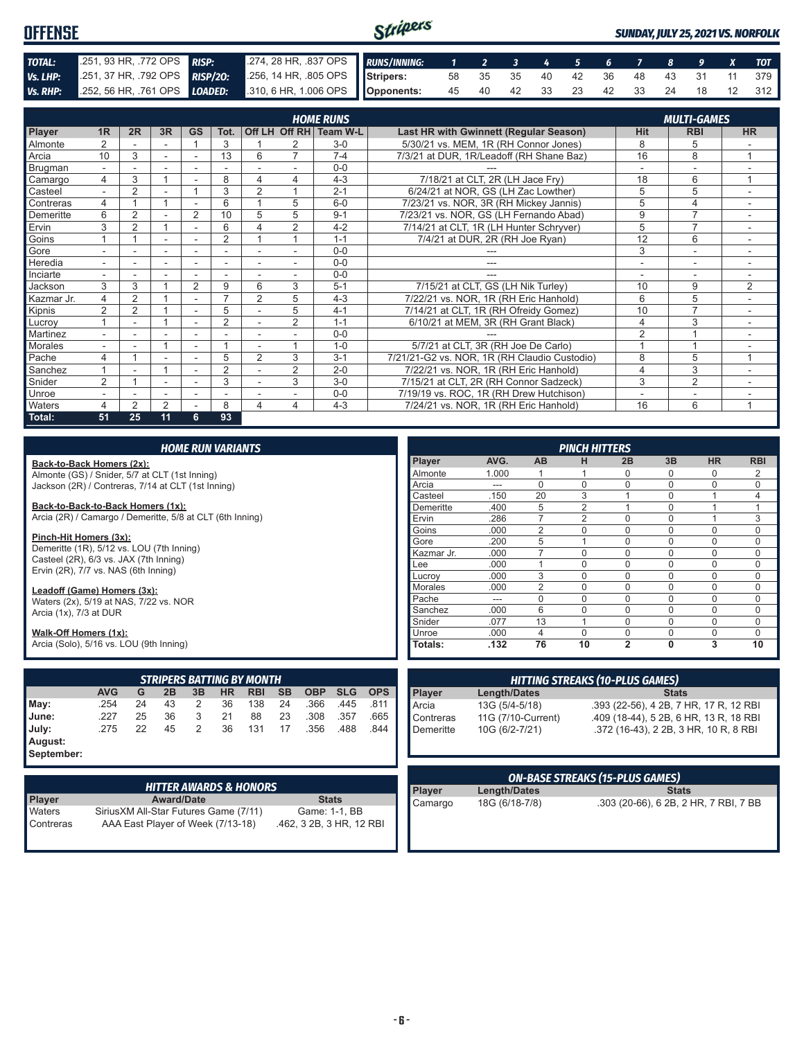#### Stripers **OFFENSE** *SUNDAY, JULY 25, 2021 VS. NORFOLK TOTAL:* .251, 93 HR, .772 OPS *RISP:* .274, 28 HR, .837 OPS *RUNS/INNING: 1 2 3 4 5 6 7 8 9 X TOT Vs. LHP:* .251, 37 HR, .792 OPS *RISP/2O:* .256, 14 HR, .805 OPS **Stripers:** 58 35 35 40 42 36 48 43 31 11 379 *Vs. RHP:* .252, 56 HR, .761 OPS *LOADED:* **Opponents:** 45 40 42 33 23 42 33 24 18 12 312

|                |                |                |                |                          |                |                          |                | <b>HOME RUNS</b>       |                                               |                          | <b>MULTI-GAMES</b> |                |
|----------------|----------------|----------------|----------------|--------------------------|----------------|--------------------------|----------------|------------------------|-----------------------------------------------|--------------------------|--------------------|----------------|
| Player         | 1 <sub>R</sub> | 2R             | 3R             | <b>GS</b>                | Tot.           |                          |                | Off LH Off RH Team W-L | <b>Last HR with Gwinnett (Regular Season)</b> | <b>Hit</b>               | <b>RBI</b>         | <b>HR</b>      |
| <b>Almonte</b> |                |                |                |                          | 3              |                          |                | $3-0$                  | 5/30/21 vs. MEM, 1R (RH Connor Jones)         | 8                        | 5                  |                |
| Arcia          | 10             | 3              |                |                          | 13             | 6                        | $\overline{ }$ | $7 - 4$                | 7/3/21 at DUR, 1R/Leadoff (RH Shane Baz)      | 16                       | 8                  |                |
| Brugman        | $\sim$         | ٠              | $\sim$         |                          |                |                          |                | $0 - 0$                |                                               | $\overline{\phantom{a}}$ | $\sim$             |                |
| Camargo        | 4              | 3              |                |                          | 8              | 4                        | 4              | $4 - 3$                | 7/18/21 at CLT, 2R (LH Jace Fry)              | 18                       | 6                  | $\overline{ }$ |
| Casteel        | $\overline{a}$ | $\overline{2}$ |                |                          | 3              | 2                        |                | $2 - 1$                | 6/24/21 at NOR, GS (LH Zac Lowther)           | 5                        | 5                  | $\sim$         |
| Contreras      |                |                |                |                          | 6              |                          | 5              | $6 - 0$                | 7/23/21 vs. NOR, 3R (RH Mickey Jannis)        | 5                        | 4                  |                |
| Demeritte      | 6              | $\overline{2}$ |                | $\overline{2}$           | 10             | 5                        | 5              | $9 - 1$                | 7/23/21 vs. NOR, GS (LH Fernando Abad)        | 9                        | $\overline{ }$     |                |
| Ervin          | 3              | $\overline{2}$ |                |                          | 6              | 4                        | 2              | $4 - 2$                | 7/14/21 at CLT, 1R (LH Hunter Schryver)       | 5                        | $\overline{7}$     |                |
| Goins          |                |                |                |                          | 2              |                          |                | $1 - 1$                | 7/4/21 at DUR, 2R (RH Joe Ryan)               | 12                       | 6                  | $\sim$         |
| Gore           | ٠.             | ۰              | $\sim$         | $\overline{\phantom{a}}$ | ۰              | $\overline{\phantom{a}}$ | ٠.             | $0 - 0$                |                                               | 3                        | ٠                  | ۰.             |
| Heredia        | ٠              | ۰              | ۰              | ۰                        | ٠              |                          |                | $0 - 0$                | ---                                           | ٠                        | ۰                  |                |
| Inciarte       |                |                |                |                          |                |                          |                | $0 - 0$                |                                               |                          | ۰                  |                |
| Jackson        | 3              | 3              |                | $\overline{2}$           | 9              | 6                        | 3              | $5 - 1$                | 7/15/21 at CLT, GS (LH Nik Turley)            | 10                       | 9                  | 2              |
| Kazmar Jr.     | 4              | $\overline{2}$ |                |                          |                | $\overline{2}$           | 5              | $4 - 3$                | 7/22/21 vs. NOR, 1R (RH Eric Hanhold)         | 6                        | 5                  | Ξ.             |
| Kipnis         | 2              | $\overline{2}$ |                | ٠                        | 5              |                          | 5              | $4 - 1$                | 7/14/21 at CLT, 1R (RH Ofreidy Gomez)         | 10                       | $\overline{7}$     | ٠              |
| Lucroy         |                |                |                |                          | $\overline{2}$ |                          | $\overline{2}$ | $1 - 1$                | 6/10/21 at MEM, 3R (RH Grant Black)           | 4                        | 3                  |                |
| Martinez       |                |                |                |                          |                |                          |                | $0 - 0$                |                                               | $\overline{2}$           |                    |                |
| Morales        |                |                | 4              |                          |                |                          |                | $1 - 0$                | 5/7/21 at CLT, 3R (RH Joe De Carlo)           |                          |                    |                |
| <b>Pache</b>   | 4              |                |                |                          | 5              | $\overline{2}$           | 3              | $3 - 1$                | 7/21/21-G2 vs. NOR, 1R (RH Claudio Custodio)  | 8                        | 5                  | $\overline{ }$ |
| Sanchez        |                |                |                | ۰                        | $\overline{2}$ |                          | 2              | $2 - 0$                | 7/22/21 vs. NOR, 1R (RH Eric Hanhold)         | 4                        | 3                  |                |
| Snider         | $\overline{2}$ |                |                |                          | 3              |                          | 3              | $3-0$                  | 7/15/21 at CLT, 2R (RH Connor Sadzeck)        | 3                        | $\overline{2}$     |                |
| Unroe          |                |                | ٠              |                          | ٠              |                          |                | $0 - 0$                | 7/19/19 vs. ROC, 1R (RH Drew Hutchison)       | $\sim$                   | ÷.                 |                |
| Waters         | 4              | 2              | $\overline{2}$ |                          | 8              | 4                        | 4              | $4 - 3$                | 7/24/21 vs. NOR, 1R (RH Eric Hanhold)         | 16                       | 6                  | $\overline{ }$ |
| Total:         | 51             | 25             | 11             | 6                        | 93             |                          |                |                        |                                               |                          |                    |                |

|                                                                     |            |    |    |               | <b>HOME RUN VARIANTS</b> |                                   |           |               |            |            |                |                     |                | <b>PINCH HITTERS</b> |                                        |              |                |             |
|---------------------------------------------------------------------|------------|----|----|---------------|--------------------------|-----------------------------------|-----------|---------------|------------|------------|----------------|---------------------|----------------|----------------------|----------------------------------------|--------------|----------------|-------------|
| Back-to-Back Homers (2x):                                           |            |    |    |               |                          |                                   |           |               |            |            | Player         | AVG.                | AB             | н                    | 2B                                     | 3B           | <b>HR</b>      | <b>RBI</b>  |
| Almonte (GS) / Snider, 5/7 at CLT (1st Inning)                      |            |    |    |               |                          |                                   |           |               |            |            | Almonte        | 1.000               |                |                      | $\Omega$                               | $\Omega$     | 0              | 2           |
| Jackson (2R) / Contreras, 7/14 at CLT (1st Inning)                  |            |    |    |               |                          |                                   |           |               |            | Arcia      | ---            | $\Omega$            | $\Omega$       | $\Omega$             | 0                                      | 0            | $\mathbf 0$    |             |
|                                                                     |            |    |    |               |                          |                                   |           |               |            | Casteel    | .150           | 20                  | 3              |                      | $\Omega$                               | 1            | $\overline{4}$ |             |
| Back-to-Back-to-Back Homers (1x):                                   |            |    |    |               |                          |                                   |           |               |            | Demeritte  | .400           | 5                   | $\overline{2}$ |                      | $\Omega$                               | 1            | $\overline{1}$ |             |
| Arcia (2R) / Camargo / Demeritte, 5/8 at CLT (6th Inning)           |            |    |    |               |                          |                                   |           |               |            |            | Ervin          | .286                | $\overline{7}$ | $\overline{2}$       | $\Omega$                               | 0            | $\mathbf{1}$   | 3           |
|                                                                     |            |    |    |               |                          |                                   |           |               |            |            | Goins          | .000                | $\overline{2}$ | 0                    | $\Omega$                               | 0            | 0              | $\mathbf 0$ |
| Pinch-Hit Homers (3x):<br>Demeritte (1R), 5/12 vs. LOU (7th Inning) |            |    |    |               |                          |                                   |           |               |            |            | Gore           | .200                | 5              |                      | $\Omega$                               | $\Omega$     | $\Omega$       | $\Omega$    |
| Casteel (2R), 6/3 vs. JAX (7th Inning)                              |            |    |    |               |                          |                                   |           |               |            |            | Kazmar Jr.     | .000                | $\overline{7}$ | $\Omega$             | $\mathbf 0$                            | 0            | 0              | $\mathbf 0$ |
| Ervin (2R), 7/7 vs. NAS (6th Inning)                                |            |    |    |               |                          |                                   |           |               |            |            | Lee            | .000                | 1              | $\Omega$             | $\Omega$                               | $\Omega$     | $\Omega$       | $\Omega$    |
|                                                                     |            |    |    |               |                          |                                   |           |               |            |            | Lucroy         | .000                | 3              | $\Omega$             | $\Omega$                               | $\Omega$     | 0              | $\Omega$    |
| Leadoff (Game) Homers (3x):                                         |            |    |    |               |                          |                                   |           |               |            |            | <b>Morales</b> | .000                | $\overline{2}$ | $\Omega$             | $\mathbf 0$                            | 0            | 0              | 0           |
| Waters (2x), 5/19 at NAS, 7/22 vs. NOR                              |            |    |    |               |                          |                                   |           |               |            |            | Pache          | ---                 | $\Omega$       | $\Omega$             | $\Omega$                               | $\Omega$     | $\Omega$       | $\Omega$    |
| Arcia (1x), 7/3 at DUR                                              |            |    |    |               |                          |                                   |           |               |            |            | Sanchez        | .000                | 6              | $\Omega$             | $\mathbf{0}$                           | 0            | 0              | $\mathbf 0$ |
|                                                                     |            |    |    |               |                          |                                   |           |               |            |            | Snider         | .077                | 13             |                      | $\Omega$                               | $\Omega$     | 0              | $\mathbf 0$ |
| Walk-Off Homers (1x):                                               |            |    |    |               |                          |                                   |           |               |            |            | Unroe          | .000                | 4              | $\Omega$             | $\Omega$                               | $\mathbf 0$  | 0              | $\Omega$    |
| Arcia (Solo), 5/16 vs. LOU (9th Inning)                             |            |    |    |               |                          |                                   |           |               |            |            | Totals:        | .132                | 76             | 10                   | $\overline{2}$                         | $\mathbf{0}$ | 3              | 10          |
|                                                                     |            |    |    |               |                          | <b>STRIPERS BATTING BY MONTH</b>  |           |               |            |            |                |                     |                |                      | <b>HITTING STREAKS (10-PLUS GAMES)</b> |              |                |             |
|                                                                     |            |    |    |               |                          |                                   |           |               |            |            |                |                     |                |                      |                                        |              |                |             |
|                                                                     | <b>AVG</b> | G  | 2B | 3B            | <b>HR</b>                | <b>RBI</b>                        | <b>SB</b> | <b>OBP</b>    | <b>SLG</b> | <b>OPS</b> | Player         | <b>Length/Dates</b> |                |                      |                                        | <b>Stats</b> |                |             |
| May:                                                                | .254       | 24 | 43 | 2             | 36                       | 138                               | 24        | .366          | .445       | .811       | Arcia          | 13G (5/4-5/18)      |                |                      | .393 (22-56), 4 2B, 7 HR, 17 R, 12 RBI |              |                |             |
| June:                                                               | .227       | 25 | 36 | 3             | 21                       | 88                                | 23        | .308          | .357       | .665       | Contreras      | 11G (7/10-Current)  |                |                      | .409 (18-44), 5 2B, 6 HR, 13 R, 18 RBI |              |                |             |
| July:                                                               | .275       | 22 | 45 | $\mathcal{P}$ | 36                       | 131                               | 17        | .356          | .488       | .844       | Demeritte      | 10G (6/2-7/21)      |                |                      | .372 (16-43), 2 2B, 3 HR, 10 R, 8 RBI  |              |                |             |
| August:<br>September:                                               |            |    |    |               |                          |                                   |           |               |            |            |                |                     |                |                      |                                        |              |                |             |
|                                                                     |            |    |    |               |                          |                                   |           |               |            |            |                |                     |                |                      |                                        |              |                |             |
|                                                                     |            |    |    |               |                          |                                   |           |               |            |            |                |                     |                |                      | <b>ON-BASE STREAKS (15-PLUS GAMES)</b> |              |                |             |
| $\sim$ $\sim$                                                       |            |    |    |               |                          | <b>HITTER AWARDS &amp; HONORS</b> |           | $\sim$ $\sim$ |            |            | Player         | <b>Length/Dates</b> |                |                      |                                        | <b>Stats</b> |                |             |

| <b>HITTER AWARDS &amp; HONORS</b> |                                        |                          |  |  |  |  |
|-----------------------------------|----------------------------------------|--------------------------|--|--|--|--|
| <b>Player</b>                     | <b>Award/Date</b>                      | <b>Stats</b>             |  |  |  |  |
| Waters                            | Sirius XM All-Star Futures Game (7/11) | Game: 1-1, BB            |  |  |  |  |
| Contreras                         | AAA East Player of Week (7/13-18)      | .462, 3 2B, 3 HR, 12 RBI |  |  |  |  |

| <b>Demeritte</b> | $10G(6/2-7/21)$     | .3/2 (16-43), 2 2B, 3 HR, 10 R, 8 RBI  |
|------------------|---------------------|----------------------------------------|
|                  |                     | <b>ON-BASE STREAKS (15-PLUS GAMES)</b> |
| Player           | <b>Length/Dates</b> | <b>Stats</b>                           |
| Camargo          | 18G (6/18-7/8)      | .303 (20-66), 6 2B, 2 HR, 7 RBI, 7 BB  |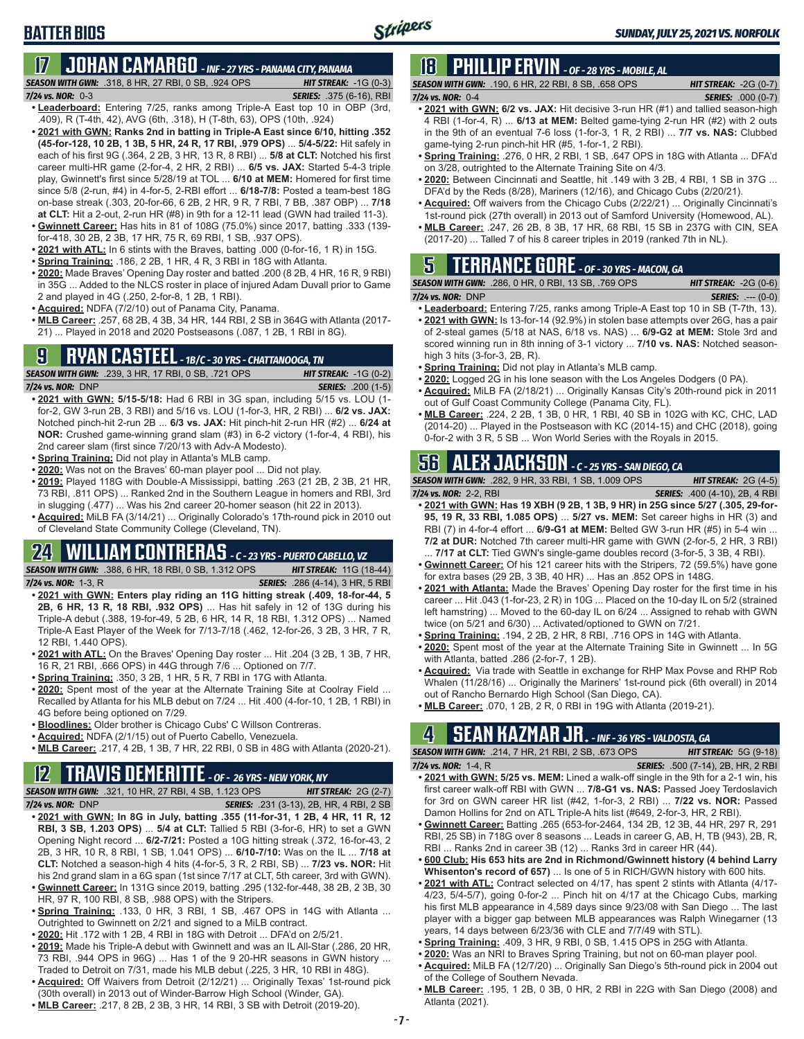# **BATTER BIOS**

# **17 JOHAN CAMARGO** *- INF - 27 YRS - PANAMA CITY, PANAMA*

*SEASON WITH GWN:*.318, 8 HR, 27 RBI, 0 SB, .924 OPS *HIT STREAK:* -1G (0-3) *7/24 vs. NOR:* 0-3 *SERIES:* .375 (6-16), RBI

- **• Leaderboard:** Entering 7/25, ranks among Triple-A East top 10 in OBP (3rd, .409), R (T-4th, 42), AVG (6th, .318), H (T-8th, 63), OPS (10th, .924)
- **• 2021 with GWN: Ranks 2nd in batting in Triple-A East since 6/10, hitting .352 (45-for-128, 10 2B, 1 3B, 5 HR, 24 R, 17 RBI, .979 OPS)** ... **5/4-5/22:** Hit safely in each of his first 9G (.364, 2 2B, 3 HR, 13 R, 8 RBI) ... **5/8 at CLT:** Notched his first career multi-HR game (2-for-4, 2 HR, 2 RBI) ... **6/5 vs. JAX:** Started 5-4-3 triple play, Gwinnett's first since 5/28/19 at TOL ... **6/10 at MEM:** Homered for first time since 5/8 (2-run, #4) in 4-for-5, 2-RBI effort ... **6/18-7/8:** Posted a team-best 18G on-base streak (.303, 20-for-66, 6 2B, 2 HR, 9 R, 7 RBI, 7 BB, .387 OBP) ... **7/18 at CLT:** Hit a 2-out, 2-run HR (#8) in 9th for a 12-11 lead (GWN had trailed 11-3).
- **• Gwinnett Career:** Has hits in 81 of 108G (75.0%) since 2017, batting .333 (139 for-418, 30 2B, 2 3B, 17 HR, 75 R, 69 RBI, 1 SB, .937 OPS).
- **• 2021 with ATL:** In 6 stints with the Braves, batting .000 (0-for-16, 1 R) in 15G.
- **• Spring Training:** .186, 2 2B, 1 HR, 4 R, 3 RBI in 18G with Atlanta.
- **• 2020:** Made Braves' Opening Day roster and batted .200 (8 2B, 4 HR, 16 R, 9 RBI) in 35G ... Added to the NLCS roster in place of injured Adam Duvall prior to Game 2 and played in 4G (.250, 2-for-8, 1 2B, 1 RBI).
- **• Acquired:** NDFA (7/2/10) out of Panama City, Panama.
- **• MLB Career:** .257, 68 2B, 4 3B, 34 HR, 144 RBI, 2 SB in 364G with Atlanta (2017- 21) ... Played in 2018 and 2020 Postseasons (.087, 1 2B, 1 RBI in 8G).

# **9 RYAN CASTEEL** *- 1B/C - 30 YRS - CHATTANOOGA, TN*

*SEASON WITH GWN:*.239, 3 HR, 17 RBI, 0 SB, .721 OPS *HIT STREAK:* -1G (0-2) *7/24 vs. NOR:*DNP *SERIES:* .200 (1-5)

- **• 2021 with GWN: 5/15-5/18:** Had 6 RBI in 3G span, including 5/15 vs. LOU (1 for-2, GW 3-run 2B, 3 RBI) and 5/16 vs. LOU (1-for-3, HR, 2 RBI) ... **6/2 vs. JAX:** Notched pinch-hit 2-run 2B ... **6/3 vs. JAX:** Hit pinch-hit 2-run HR (#2) ... **6/24 at NOR:** Crushed game-winning grand slam (#3) in 6-2 victory (1-for-4, 4 RBI), his 2nd career slam (first since 7/20/13 with Adv-A Modesto).
- **• Spring Training:** Did not play in Atlanta's MLB camp.
- **• 2020:** Was not on the Braves' 60-man player pool ... Did not play.
- **• 2019:** Played 118G with Double-A Mississippi, batting .263 (21 2B, 2 3B, 21 HR, 73 RBI, .811 OPS) ... Ranked 2nd in the Southern League in homers and RBI, 3rd in slugging (.477) ... Was his 2nd career 20-homer season (hit 22 in 2013).
- **• Acquired:** MiLB FA (3/14/21) ... Originally Colorado's 17th-round pick in 2010 out of Cleveland State Community College (Cleveland, TN).

# **24 WILLIAM CONTRERAS** *- C - 23 YRS - PUERTO CABELLO, VZ*

*SEASON WITH GWN:*.388, 6 HR, 18 RBI, 0 SB, 1.312 OPS *HIT STREAK:* 11G (18-44) *7/24 vs. NOR:* 1-3, R *SERIES:* .286 (4-14), 3 HR, 5 RBI

- **• 2021 with GWN: Enters play riding an 11G hitting streak (.409, 18-for-44, 5 2B, 6 HR, 13 R, 18 RBI, .932 OPS)** ... Has hit safely in 12 of 13G during his Triple-A debut (.388, 19-for-49, 5 2B, 6 HR, 14 R, 18 RBI, 1.312 OPS) ... Named Triple-A East Player of the Week for 7/13-7/18 (.462, 12-for-26, 3 2B, 3 HR, 7 R, 12 RBI, 1.440 OPS).
- **• 2021 with ATL:** On the Braves' Opening Day roster ... Hit .204 (3 2B, 1 3B, 7 HR, 16 R, 21 RBI, .666 OPS) in 44G through 7/6 ... Optioned on 7/7.
- **• Spring Training:** .350, 3 2B, 1 HR, 5 R, 7 RBI in 17G with Atlanta.
- **• 2020:** Spent most of the year at the Alternate Training Site at Coolray Field ... Recalled by Atlanta for his MLB debut on 7/24 ... Hit .400 (4-for-10, 1 2B, 1 RBI) in 4G before being optioned on 7/29.
- **• Bloodlines:** Older brother is Chicago Cubs' C Willson Contreras.
- **• Acquired:** NDFA (2/1/15) out of Puerto Cabello, Venezuela.
- **• MLB Career:** .217, 4 2B, 1 3B, 7 HR, 22 RBI, 0 SB in 48G with Atlanta (2020-21).

# **12 TRAVIS DEMERITTE** *- OF - 26 YRS - NEW YORK, NY*

*SEASON WITH GWN:*.321, 10 HR, 27 RBI, 4 SB, 1.123 OPS *HIT STREAK:* 2G (2-7) *7/24 vs. NOR:*DNP *SERIES:* .231 (3-13), 2B, HR, 4 RBI, 2 SB

- **• 2021 with GWN: In 8G in July, batting .355 (11-for-31, 1 2B, 4 HR, 11 R, 12 RBI, 3 SB, 1.203 OPS)** ... **5/4 at CLT:** Tallied 5 RBI (3-for-6, HR) to set a GWN Opening Night record ... **6/2-7/21:** Posted a 10G hitting streak (.372, 16-for-43, 2 2B, 3 HR, 10 R, 8 RBI, 1 SB, 1.041 OPS) ... **6/10-7/10:** Was on the IL ... **7/18 at CLT:** Notched a season-high 4 hits (4-for-5, 3 R, 2 RBI, SB) ... **7/23 vs. NOR:** Hit his 2nd grand slam in a 6G span (1st since 7/17 at CLT, 5th career, 3rd with GWN). **• Gwinnett Career:** In 131G since 2019, batting .295 (132-for-448, 38 2B, 2 3B, 30
- HR, 97 R, 100 RBI, 8 SB, .988 OPS) with the Stripers. **• Spring Training:** .133, 0 HR, 3 RBI, 1 SB, .467 OPS in 14G with Atlanta ...
- Outrighted to Gwinnett on 2/21 and signed to a MiLB contract.
- **• 2020:** Hit .172 with 1 2B, 4 RBI in 18G with Detroit ... DFA'd on 2/5/21. **• 2019:** Made his Triple-A debut with Gwinnett and was an IL All-Star (.286, 20 HR,
- 73 RBI, .944 OPS in 96G) ... Has 1 of the 9 20-HR seasons in GWN history ... Traded to Detroit on 7/31, made his MLB debut (.225, 3 HR, 10 RBI in 48G).
- **• Acquired:** Off Waivers from Detroit (2/12/21) ... Originally Texas' 1st-round pick (30th overall) in 2013 out of Winder-Barrow High School (Winder, GA).
- **• MLB Career:** .217, 8 2B, 2 3B, 3 HR, 14 RBI, 3 SB with Detroit (2019-20).

# **18 PHILLIP ERVIN** *- OF - 28 YRS - MOBILE, AL*

*SEASON WITH GWN:*.190, 6 HR, 22 RBI, 8 SB, .658 OPS *HIT STREAK:* -2G (0-7) *7/24 vs. NOR:*0-4 *SERIES:* .000 (0-7)

- **• 2021 with GWN: 6/2 vs. JAX:** Hit decisive 3-run HR (#1) and tallied season-high 4 RBI (1-for-4, R) ... **6/13 at MEM:** Belted game-tying 2-run HR (#2) with 2 outs in the 9th of an eventual 7-6 loss (1-for-3, 1 R, 2 RBI) ... **7/7 vs. NAS:** Clubbed game-tying 2-run pinch-hit HR (#5, 1-for-1, 2 RBI).
- **• Spring Training:** .276, 0 HR, 2 RBI, 1 SB, .647 OPS in 18G with Atlanta ... DFA'd on 3/28, outrighted to the Alternate Training Site on 4/3.
- **• 2020:** Between Cincinnati and Seattle, hit .149 with 3 2B, 4 RBI, 1 SB in 37G ... DFA'd by the Reds (8/28), Mariners (12/16), and Chicago Cubs (2/20/21).
- **• Acquired:** Off waivers from the Chicago Cubs (2/22/21) ... Originally Cincinnati's 1st-round pick (27th overall) in 2013 out of Samford University (Homewood, AL).
- **• MLB Career:** .247, 26 2B, 8 3B, 17 HR, 68 RBI, 15 SB in 237G with CIN, SEA (2017-20) ... Talled 7 of his 8 career triples in 2019 (ranked 7th in NL).

# **5 TERRANCE GORE** *- OF - 30 YRS - MACON, GA*

|                     | <b>SEASON WITH GWN: .286, 0 HR, 0 RBI, 13 SB, .769 OPS</b> | <b>HIT STREAK:</b> $-2G(0-6)$ |
|---------------------|------------------------------------------------------------|-------------------------------|
| $7/24$ vs. NOR: DNP |                                                            | <b>SERIES:</b> $--- (0-0)$    |

- **• Leaderboard:** Entering 7/25, ranks among Triple-A East top 10 in SB (T-7th, 13). **• 2021 with GWN:** Is 13-for-14 (92.9%) in stolen base attempts over 26G, has a pair of 2-steal games (5/18 at NAS, 6/18 vs. NAS) ... **6/9-G2 at MEM:** Stole 3rd and scored winning run in 8th inning of 3-1 victory ... **7/10 vs. NAS:** Notched season-
- high 3 hits (3-for-3, 2B, R). **• Spring Training:** Did not play in Atlanta's MLB camp.
- **• 2020:** Logged 2G in his lone season with the Los Angeles Dodgers (0 PA).
- **• Acquired:** MiLB FA (2/18/21) ... Originally Kansas City's 20th-round pick in 2011 out of Gulf Coast Community College (Panama City, FL).
- **• MLB Career:** .224, 2 2B, 1 3B, 0 HR, 1 RBI, 40 SB in 102G with KC, CHC, LAD (2014-20) ... Played in the Postseason with KC (2014-15) and CHC (2018), going 0-for-2 with 3 R, 5 SB ... Won World Series with the Royals in 2015.

# **56 ALEX JACKSON** *- C - 25 YRS - SAN DIEGO, CA*

*SEASON WITH GWN:*.282, 9 HR, 33 RBI, 1 SB, 1.009 OPS *HIT STREAK:* 2G (4-5) *7/24 vs. NOR:*2-2, RBI *SERIES:* .400 (4-10), 2B, 4 RBI

- **• 2021 with GWN: Has 19 XBH (9 2B, 1 3B, 9 HR) in 25G since 5/27 (.305, 29-for-95, 19 R, 33 RBI, 1.085 OPS)** ... **5/27 vs. MEM:** Set career highs in HR (3) and RBI (7) in 4-for-4 effort ... **6/9-G1 at MEM:** Belted GW 3-run HR (#5) in 5-4 win ... **7/2 at DUR:** Notched 7th career multi-HR game with GWN (2-for-5, 2 HR, 3 RBI) . **7/17 at CLT:** Tied GWN's single-game doubles record (3-for-5, 3 3B, 4 RBI).
- **• Gwinnett Career:** Of his 121 career hits with the Stripers, 72 (59.5%) have gone for extra bases (29 2B, 3 3B, 40 HR) ... Has an .852 OPS in 148G.
- **• 2021 with Atlanta:** Made the Braves' Opening Day roster for the first time in his career ... Hit .043 (1-for-23, 2 R) in 10G ... Placed on the 10-day IL on 5/2 (strained left hamstring) ... Moved to the 60-day IL on 6/24 ... Assigned to rehab with GWN twice (on 5/21 and 6/30) ... Activated/optioned to GWN on 7/21.
- **• Spring Training:** .194, 2 2B, 2 HR, 8 RBI, .716 OPS in 14G with Atlanta.
- **• 2020:** Spent most of the year at the Alternate Training Site in Gwinnett ... In 5G with Atlanta, batted .286 (2-for-7, 1 2B).
- **• Acquired:** Via trade with Seattle in exchange for RHP Max Povse and RHP Rob Whalen (11/28/16) ... Originally the Mariners' 1st-round pick (6th overall) in 2014 out of Rancho Bernardo High School (San Diego, CA).
- **• MLB Career:** .070, 1 2B, 2 R, 0 RBI in 19G with Atlanta (2019-21).

# **4 SEAN KAZMAR JR.** *- INF - 36 YRS - VALDOSTA, GA*

*SEASON WITH GWN:*.214, 7 HR, 21 RBI, 2 SB, .673 OPS *HIT STREAK:* 5G (9-18)

- *7/24 vs. NOR:*1-4, R *SERIES:* .500 (7-14), 2B, HR, 2 RBI **• 2021 with GWN: 5/25 vs. MEM:** Lined a walk-off single in the 9th for a 2-1 win, his first career walk-off RBI with GWN ... **7/8-G1 vs. NAS:** Passed Joey Terdoslavich for 3rd on GWN career HR list (#42, 1-for-3, 2 RBI) ... **7/22 vs. NOR:** Passed Damon Hollins for 2nd on ATL Triple-A hits list (#649, 2-for-3, HR, 2 RBI).
- **• Gwinnett Career:** Batting .265 (653-for-2464, 134 2B, 12 3B, 44 HR, 297 R, 291 RBI, 25 SB) in 718G over 8 seasons ... Leads in career G, AB, H, TB (943), 2B, R, RBI ... Ranks 2nd in career 3B (12) ... Ranks 3rd in career HR (44).
- **• 600 Club: His 653 hits are 2nd in Richmond/Gwinnett history (4 behind Larry Whisenton's record of 657)** ... Is one of 5 in RICH/GWN history with 600 hits.
- **• 2021 with ATL:** Contract selected on 4/17, has spent 2 stints with Atlanta (4/17- 4/23, 5/4-5/7), going 0-for-2 ... Pinch hit on 4/17 at the Chicago Cubs, marking his first MLB appearance in 4,589 days since 9/23/08 with San Diego ... The last player with a bigger gap between MLB appearances was Ralph Winegarner (13 years, 14 days between 6/23/36 with CLE and 7/7/49 with STL).
- **• Spring Training:** .409, 3 HR, 9 RBI, 0 SB, 1.415 OPS in 25G with Atlanta.
- **• 2020:** Was an NRI to Braves Spring Training, but not on 60-man player pool.
- **• Acquired:** MiLB FA (12/7/20) ... Originally San Diego's 5th-round pick in 2004 out
- of the College of Southern Nevada.
- **• MLB Career:** .195, 1 2B, 0 3B, 0 HR, 2 RBI in 22G with San Diego (2008) and Atlanta (2021).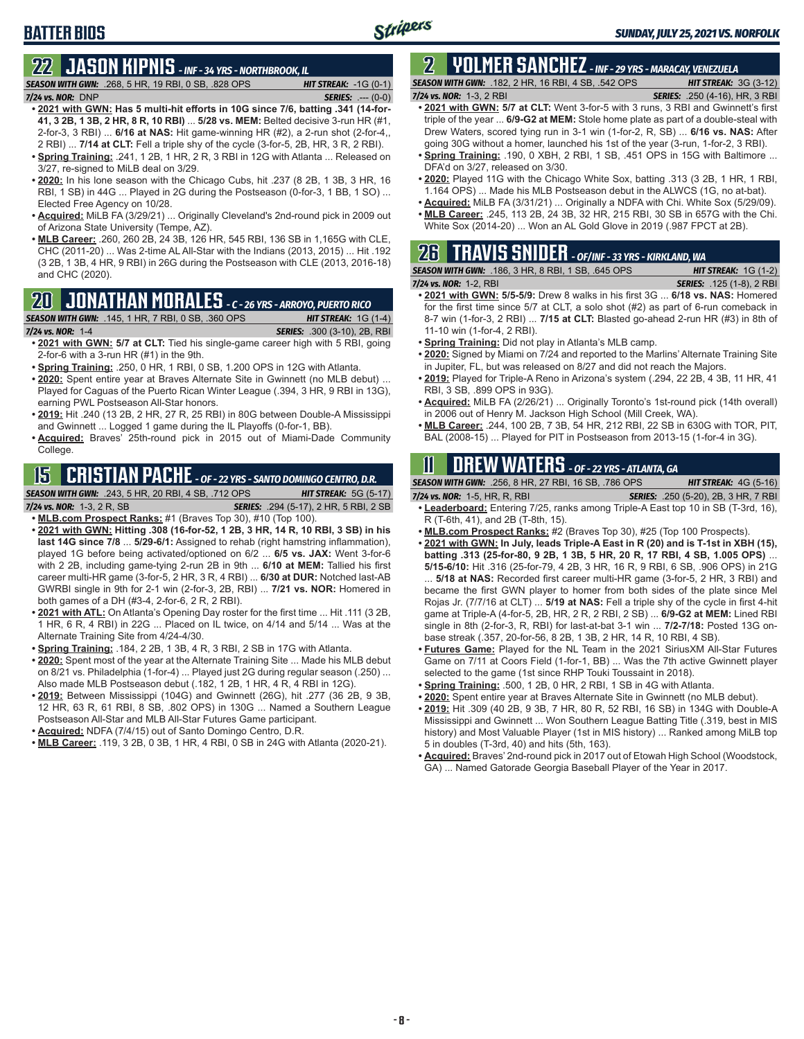# **BATTER BIOS**

# **22 JASON KIPNIS** *- INF - 34 YRS - NORTHBROOK, IL*

*SEASON WITH GWN:*.268, 5 HR, 19 RBI, 0 SB, .828 OPS *HIT STREAK:* -1G (0-1) *7/24 vs. NOR:*DNP *SERIES:* .--- (0-0)

- **• 2021 with GWN: Has 5 multi-hit efforts in 10G since 7/6, batting .341 (14-for-41, 3 2B, 1 3B, 2 HR, 8 R, 10 RBI)** ... **5/28 vs. MEM:** Belted decisive 3-run HR (#1, 2-for-3, 3 RBI) ... **6/16 at NAS:** Hit game-winning HR (#2), a 2-run shot (2-for-4,, 2 RBI) ... **7/14 at CLT:** Fell a triple shy of the cycle (3-for-5, 2B, HR, 3 R, 2 RBI).
- **• Spring Training:** .241, 1 2B, 1 HR, 2 R, 3 RBI in 12G with Atlanta ... Released on 3/27, re-signed to MiLB deal on 3/29.
- **• 2020:** In his lone season with the Chicago Cubs, hit .237 (8 2B, 1 3B, 3 HR, 16 RBI, 1 SB) in 44G ... Played in 2G during the Postseason (0-for-3, 1 BB, 1 SO) ... Elected Free Agency on 10/28.
- **• Acquired:** MiLB FA (3/29/21) ... Originally Cleveland's 2nd-round pick in 2009 out of Arizona State University (Tempe, AZ).
- **• MLB Career:** .260, 260 2B, 24 3B, 126 HR, 545 RBI, 136 SB in 1,165G with CLE, CHC (2011-20) ... Was 2-time AL All-Star with the Indians (2013, 2015) ... Hit .192 (3 2B, 1 3B, 4 HR, 9 RBI) in 26G during the Postseason with CLE (2013, 2016-18) and CHC (2020).

# **20 JONATHAN MORALES** *- C - 26 YRS - ARROYO, PUERTO RICO*

*SEASON WITH GWN:*.145, 1 HR, 7 RBI, 0 SB, .360 OPS *HIT STREAK:* 1G (1-4)

*7/24 vs. NOR:*1-4 *SERIES:* .300 (3-10), 2B, RBI

- **• 2021 with GWN: 5/7 at CLT:** Tied his single-game career high with 5 RBI, going 2-for-6 with a 3-run HR (#1) in the 9th.
- **• Spring Training:** .250, 0 HR, 1 RBI, 0 SB, 1.200 OPS in 12G with Atlanta.
- **• 2020:** Spent entire year at Braves Alternate Site in Gwinnett (no MLB debut) ... Played for Caguas of the Puerto Rican Winter League (.394, 3 HR, 9 RBI in 13G), earning PWL Postseason All-Star honors.
- **• 2019:** Hit .240 (13 2B, 2 HR, 27 R, 25 RBI) in 80G between Double-A Mississippi and Gwinnett ... Logged 1 game during the IL Playoffs (0-for-1, BB).
- **• Acquired:** Braves' 25th-round pick in 2015 out of Miami-Dade Community College.

# **15 CRISTIAN PACHE** *- OF - 22 YRS - SANTO DOMINGO CENTRO, D.R.*

*SEASON WITH GWN:*.243, 5 HR, 20 RBI, 4 SB, .712 OPS *HIT STREAK:* 5G (5-17)

*7/24 vs. NOR:* 1-3, 2 R, SB *SERIES:* .294 (5-17), 2 HR, 5 RBI, 2 SB

- **• MLB.com Prospect Ranks:** #1 (Braves Top 30), #10 (Top 100). **• 2021 with GWN: Hitting .308 (16-for-52, 1 2B, 3 HR, 14 R, 10 RBI, 3 SB) in his last 14G since 7/8** ... **5/29-6/1:** Assigned to rehab (right hamstring inflammation), played 1G before being activated/optioned on 6/2 ... **6/5 vs. JAX:** Went 3-for-6 with 2 2B, including game-tying 2-run 2B in 9th ... **6/10 at MEM:** Tallied his first career multi-HR game (3-for-5, 2 HR, 3 R, 4 RBI) ... **6/30 at DUR:** Notched last-AB GWRBI single in 9th for 2-1 win (2-for-3, 2B, RBI) ... **7/21 vs. NOR:** Homered in both games of a DH (#3-4, 2-for-6, 2 R, 2 RBI).
- **• 2021 with ATL:** On Atlanta's Opening Day roster for the first time ... Hit .111 (3 2B, 1 HR, 6 R, 4 RBI) in 22G ... Placed on IL twice, on 4/14 and 5/14 ... Was at the Alternate Training Site from 4/24-4/30.
- **• Spring Training:** .184, 2 2B, 1 3B, 4 R, 3 RBI, 2 SB in 17G with Atlanta.
- **• 2020:** Spent most of the year at the Alternate Training Site ... Made his MLB debut on 8/21 vs. Philadelphia (1-for-4) ... Played just 2G during regular season (.250) ... Also made MLB Postseason debut (.182, 1 2B, 1 HR, 4 R, 4 RBI in 12G).
- **• 2019:** Between Mississippi (104G) and Gwinnett (26G), hit .277 (36 2B, 9 3B, 12 HR, 63 R, 61 RBI, 8 SB, .802 OPS) in 130G ... Named a Southern League Postseason All-Star and MLB All-Star Futures Game participant.
- **• Acquired:** NDFA (7/4/15) out of Santo Domingo Centro, D.R.
- **• MLB Career:** .119, 3 2B, 0 3B, 1 HR, 4 RBI, 0 SB in 24G with Atlanta (2020-21).

### **2 YOLMER SANCHEZ** *- INF - 29 YRS - MARACAY, VENEZUELA SEASON WITH GWN:*.182, 2 HR, 16 RBI, 4 SB, .542 OPS *HIT STREAK:* 3G (3-12)

*7/24 vs. NOR:*1-3, 2 RBI *SERIES:* .250 (4-16), HR, 3 RBI

- **• 2021 with GWN: 5/7 at CLT:** Went 3-for-5 with 3 runs, 3 RBI and Gwinnett's first triple of the year ... **6/9-G2 at MEM:** Stole home plate as part of a double-steal with Drew Waters, scored tying run in 3-1 win (1-for-2, R, SB) ... **6/16 vs. NAS:** After going 30G without a homer, launched his 1st of the year (3-run, 1-for-2, 3 RBI).
- **• Spring Training:** .190, 0 XBH, 2 RBI, 1 SB, .451 OPS in 15G with Baltimore ... DFA'd on 3/27, released on 3/30.
- **• 2020:** Played 11G with the Chicago White Sox, batting .313 (3 2B, 1 HR, 1 RBI, 1.164 OPS) ... Made his MLB Postseason debut in the ALWCS (1G, no at-bat).
- **• Acquired:** MiLB FA (3/31/21) ... Originally a NDFA with Chi. White Sox (5/29/09). **• MLB Career:** .245, 113 2B, 24 3B, 32 HR, 215 RBI, 30 SB in 657G with the Chi.
- White Sox (2014-20) ... Won an AL Gold Glove in 2019 (.987 FPCT at 2B).

# **26 TRAVIS SNIDER** *- OF/INF - 33 YRS - KIRKLAND, WA SEASON WITH GWN:*.186, 3 HR, 8 RBI, 1 SB, .645 OPS *HIT STREAK:* 1G (1-2)

- *7/24 vs. NOR:* 1-2, RBI *SERIES:* .125 (1-8), 2 RBI **• 2021 with GWN: 5/5-5/9:** Drew 8 walks in his first 3G ... **6/18 vs. NAS:** Homered for the first time since 5/7 at CLT, a solo shot (#2) as part of 6-run comeback in 8-7 win (1-for-3, 2 RBI) ... **7/15 at CLT:** Blasted go-ahead 2-run HR (#3) in 8th of 11-10 win (1-for-4, 2 RBI).
- **• Spring Training:** Did not play in Atlanta's MLB camp.
- **• 2020:** Signed by Miami on 7/24 and reported to the Marlins' Alternate Training Site in Jupiter, FL, but was released on 8/27 and did not reach the Majors.
- **• 2019:** Played for Triple-A Reno in Arizona's system (.294, 22 2B, 4 3B, 11 HR, 41 RBI, 3 SB, .899 OPS in 93G).
- **• Acquired:** MiLB FA (2/26/21) ... Originally Toronto's 1st-round pick (14th overall) in 2006 out of Henry M. Jackson High School (Mill Creek, WA).
- **• MLB Career:** .244, 100 2B, 7 3B, 54 HR, 212 RBI, 22 SB in 630G with TOR, PIT, BAL (2008-15) ... Played for PIT in Postseason from 2013-15 (1-for-4 in 3G).

# **11 Drew WATERS** *- OF - 22 YRS - ATLANTA, GA*

| <b>SEASON WITH GWN:</b> .256, 8 HR, 27 RBI, 16 SB, .786 OPS | <b>HIT STREAK:</b> $4G(5-16)$                                                          |
|-------------------------------------------------------------|----------------------------------------------------------------------------------------|
| 7/24 vs. NOR: 1-5, HR, R, RBI                               | <b>SERIES:</b> .250 (5-20), 2B, 3 HR, 7 RBI                                            |
|                                                             | <b>A paderboard:</b> Entering 7/25, ranks among Triple-A East top 10 in SR (T-3rd, 16) |

- **• Leaderboard:** Entering 7/25, ranks among Triple-A East top 10 in SB (T-3rd, 16), R (T-6th, 41), and 2B (T-8th, 15).
- **• MLB.com Prospect Ranks:** #2 (Braves Top 30), #25 (Top 100 Prospects).
- **• 2021 with GWN: In July, leads Triple-A East in R (20) and is T-1st in XBH (15), batting .313 (25-for-80, 9 2B, 1 3B, 5 HR, 20 R, 17 RBI, 4 SB, 1.005 OPS)** ... **5/15-6/10:** Hit .316 (25-for-79, 4 2B, 3 HR, 16 R, 9 RBI, 6 SB, .906 OPS) in 21G ... **5/18 at NAS:** Recorded first career multi-HR game (3-for-5, 2 HR, 3 RBI) and became the first GWN player to homer from both sides of the plate since Mel Rojas Jr. (7/7/16 at CLT) ... **5/19 at NAS:** Fell a triple shy of the cycle in first 4-hit game at Triple-A (4-for-5, 2B, HR, 2 R, 2 RBI, 2 SB) ... **6/9-G2 at MEM:** Lined RBI single in 8th (2-for-3, R, RBI) for last-at-bat 3-1 win ... **7/2-7/18:** Posted 13G onbase streak (.357, 20-for-56, 8 2B, 1 3B, 2 HR, 14 R, 10 RBI, 4 SB).
- **• Futures Game:** Played for the NL Team in the 2021 SiriusXM All-Star Futures Game on 7/11 at Coors Field (1-for-1, BB) ... Was the 7th active Gwinnett player selected to the game (1st since RHP Touki Toussaint in 2018).
- **• Spring Training:** .500, 1 2B, 0 HR, 2 RBI, 1 SB in 4G with Atlanta.
- **• 2020:** Spent entire year at Braves Alternate Site in Gwinnett (no MLB debut).
- **• 2019:** Hit .309 (40 2B, 9 3B, 7 HR, 80 R, 52 RBI, 16 SB) in 134G with Double-A Mississippi and Gwinnett ... Won Southern League Batting Title (.319, best in MIS history) and Most Valuable Player (1st in MIS history) ... Ranked among MiLB top 5 in doubles (T-3rd, 40) and hits (5th, 163).
- **• Acquired:** Braves' 2nd-round pick in 2017 out of Etowah High School (Woodstock, GA) ... Named Gatorade Georgia Baseball Player of the Year in 2017.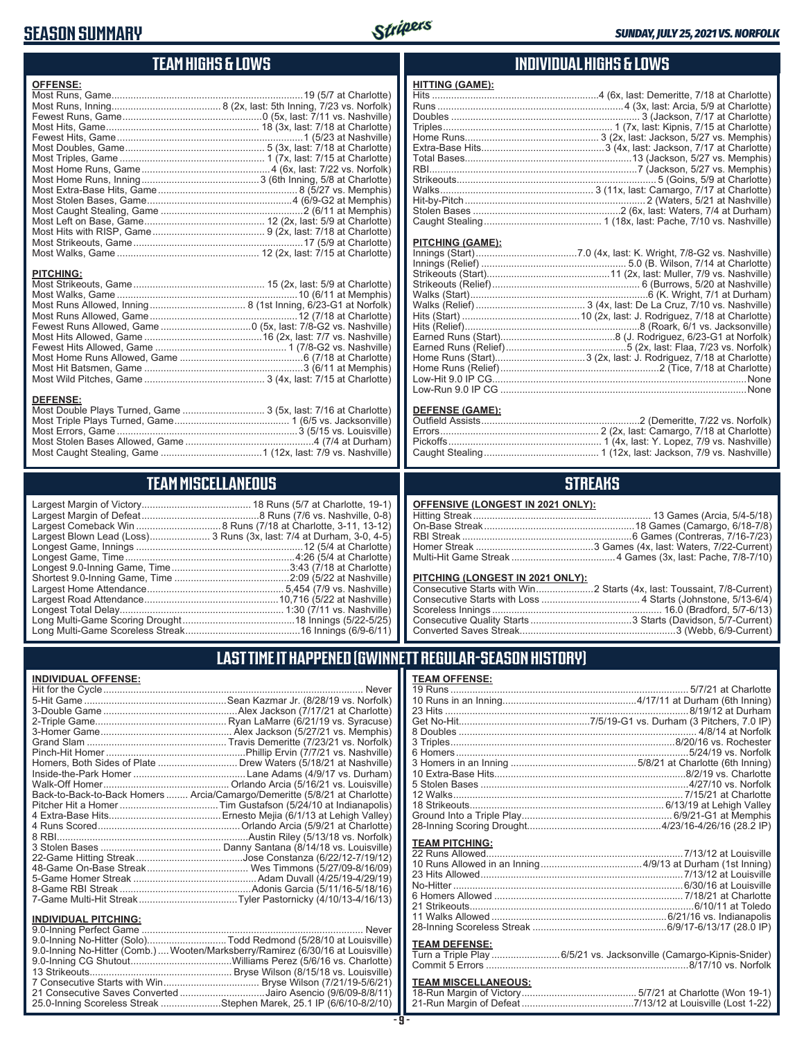# **SEASON SUMMARY**



**HITTING (GAME):**

### **TEAM HIGHS & LOWS**

| <b>OFFENSE:</b>  |  |
|------------------|--|
|                  |  |
|                  |  |
|                  |  |
|                  |  |
|                  |  |
|                  |  |
|                  |  |
|                  |  |
|                  |  |
|                  |  |
|                  |  |
|                  |  |
|                  |  |
|                  |  |
|                  |  |
|                  |  |
|                  |  |
| <b>PITCHING:</b> |  |
|                  |  |
|                  |  |
|                  |  |
|                  |  |
|                  |  |
|                  |  |
|                  |  |
|                  |  |

Most Hit Batsmen, Game ..........................................................3 (6/11 at Memphis) Most Wild Pitches, Game ............................................ 3 (4x, last: 7/15 at Charlotte)

Most Double Plays Turned, Game .............................. 3 (5x, last: 7/16 at Charlotte) Most Triple Plays Turned, Game .......................................... 1 (6/5 vs. Jacksonville) Most Errors, Game ..................................................................3 (5/15 vs. Louisville) Most Stolen Bases Allowed, Game ...............................................4 (7/4 at Durham) Most Caught Stealing, Game .....................................1 (12x, last: 7/9 vs. Nashville)

**TEAM MISCELLANEOUS**

### **INDIVIDUAL HIGHS & LOWS**

|                  | Caught Stealing……………………………………… 1 (18x, last: Pache, 7/10 vs. Nashville)    |
|------------------|----------------------------------------------------------------------------|
|                  |                                                                            |
| PITCHING (GAME): |                                                                            |
|                  |                                                                            |
|                  | Innings (Relief) ……………………………………………………………5.0 (B. Wilson, 7/14 at Charlotte) |
|                  |                                                                            |
|                  |                                                                            |
|                  |                                                                            |
|                  |                                                                            |
|                  |                                                                            |
|                  |                                                                            |
|                  |                                                                            |
|                  |                                                                            |
|                  | Home Runs (Start)3 (2x, last: J. Rodriguez, 7/18 at Charlotte)             |
|                  |                                                                            |
|                  |                                                                            |
|                  |                                                                            |

#### **DEFENSE (GAME):**

### **STREAKS**

| OFFENSIVE (LONGEST IN 2021 ONLY): |
|-----------------------------------|
|-----------------------------------|

#### **PITCHING (LONGEST IN 2021 ONLY):**

| <u>THE MINE (2010201 IN 2021 ONE I A</u> |  |
|------------------------------------------|--|
|                                          |  |
|                                          |  |
|                                          |  |
|                                          |  |
|                                          |  |
|                                          |  |

### **LAST TIME IT HAPPENED (GWINNETT REGULAR-SEASON HISTORY)**

| <b>TEAM OFFENSE:</b>  |  |
|-----------------------|--|
|                       |  |
|                       |  |
|                       |  |
|                       |  |
|                       |  |
|                       |  |
|                       |  |
|                       |  |
|                       |  |
|                       |  |
|                       |  |
|                       |  |
|                       |  |
|                       |  |
|                       |  |
| <b>TEAM PITCHING:</b> |  |
|                       |  |
|                       |  |
|                       |  |
|                       |  |
|                       |  |
|                       |  |
|                       |  |
|                       |  |
|                       |  |

#### **TEAM DEFENSE:**

|  | Turn a Triple Play 6/5/21 vs. Jacksonville (Camargo-Kipnis-Snider) |  |
|--|--------------------------------------------------------------------|--|
|  |                                                                    |  |

# **TEAM MISCELLANEOUS:**<br>18-Run Margin of Victory....

# Largest Margin of Victory........................................ 18 Runs (5/7 at Charlotte, 19-1)

Largest Margin of Defeat ...........................................8 Runs (7/6 vs. Nashville, 0-8) Largest Comeback Win ...............................8 Runs (7/18 at Charlotte, 3-11, 13-12) Largest Blown Lead (Loss)....................... 3 Runs (3x, last: 7/4 at Durham, 3-0, 4-5) Longest Game, Innings .............................................................12 (5/4 at Charlotte) Longest Game, Time ..............................................................4:26 (5/4 at Charlotte) Longest 9.0-Inning Game, Time ...........................................3:43 (7/18 at Charlotte) Shortest 9.0-Inning Game, Time ..........................................2:09 (5/22 at Nashville) Largest Home Attendance .................................................. 5,454 (7/9 vs. Nashville) Largest Road Attendance .................................................10,716 (5/22 at Nashville) Longest Total Delay............................................................ 1:30 (7/11 vs. Nashville) Long Multi-Game Scoring Drought .........................................18 Innings (5/22-5/25) Long Multi-Game Scoreless Streak ..........................................16 Innings (6/9-6/11)

#### **INDIVIDUAL OFFENSE:**

**DEFENSE:**

| Never                                                                      |
|----------------------------------------------------------------------------|
|                                                                            |
| Alex Jackson (7/17/21 at Charlotte)                                        |
|                                                                            |
|                                                                            |
|                                                                            |
|                                                                            |
|                                                                            |
|                                                                            |
|                                                                            |
| Back-to-Back-to-Back Homers  Arcia/Camargo/Demeritte (5/8/21 at Charlotte) |
|                                                                            |
|                                                                            |
|                                                                            |
|                                                                            |
|                                                                            |
|                                                                            |
|                                                                            |
|                                                                            |
|                                                                            |
|                                                                            |
|                                                                            |

#### **INDIVIDUAL PITCHING:**

| 9.0-Inning No-Hitter (Solo)Todd Redmond (5/28/10 at Louisville)                |
|--------------------------------------------------------------------------------|
| 9.0-Inning No-Hitter (Comb.) Wooten/Marksberry/Ramirez (6/30/16 at Louisville) |
|                                                                                |
|                                                                                |
|                                                                                |
| 21 Consecutive Saves Converted Jairo Asencio (9/6/09-8/8/11)                   |
| 25.0-Inning Scoreless Streak Stephen Marek, 25.1 IP (6/6/10-8/2/10)            |